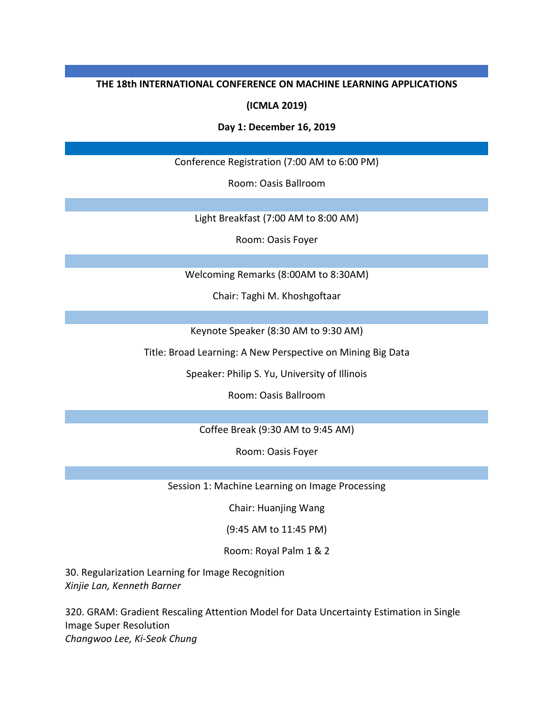#### **THE 18th INTERNATIONAL CONFERENCE ON MACHINE LEARNING APPLICATIONS**

### **(ICMLA 2019)**

#### **Day 1: December 16, 2019**

Conference Registration (7:00 AM to 6:00 PM)

Room: Oasis Ballroom

Light Breakfast (7:00 AM to 8:00 AM)

Room: Oasis Foyer

Welcoming Remarks (8:00AM to 8:30AM)

Chair: Taghi M. Khoshgoftaar

Keynote Speaker (8:30 AM to 9:30 AM)

Title: Broad Learning: A New Perspective on Mining Big Data

Speaker: Philip S. Yu, University of Illinois

Room: Oasis Ballroom

Coffee Break (9:30 AM to 9:45 AM)

Room: Oasis Foyer

Session 1: Machine Learning on Image Processing

Chair: Huanjing Wang

(9:45 AM to 11:45 PM)

Room: Royal Palm 1 & 2

30. Regularization Learning for Image Recognition *Xinjie Lan, Kenneth Barner*

320. GRAM: Gradient Rescaling Attention Model for Data Uncertainty Estimation in Single Image Super Resolution *Changwoo Lee, Ki-Seok Chung*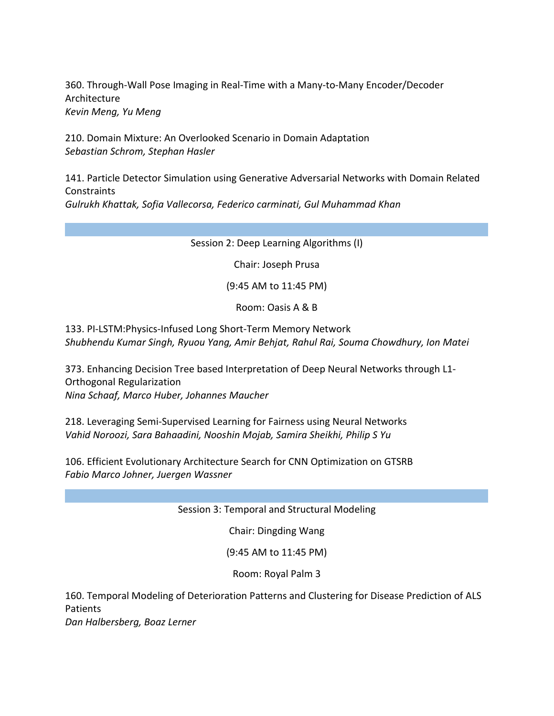360. Through-Wall Pose Imaging in Real-Time with a Many-to-Many Encoder/Decoder Architecture *Kevin Meng, Yu Meng*

210. Domain Mixture: An Overlooked Scenario in Domain Adaptation *Sebastian Schrom, Stephan Hasler*

141. Particle Detector Simulation using Generative Adversarial Networks with Domain Related **Constraints** *Gulrukh Khattak, Sofia Vallecorsa, Federico carminati, Gul Muhammad Khan*

Session 2: Deep Learning Algorithms (I)

Chair: Joseph Prusa

(9:45 AM to 11:45 PM)

Room: Oasis A & B

133. PI-LSTM:Physics-Infused Long Short-Term Memory Network *Shubhendu Kumar Singh, Ryuou Yang, Amir Behjat, Rahul Rai, Souma Chowdhury, Ion Matei*

373. Enhancing Decision Tree based Interpretation of Deep Neural Networks through L1- Orthogonal Regularization *Nina Schaaf, Marco Huber, Johannes Maucher*

218. Leveraging Semi-Supervised Learning for Fairness using Neural Networks *Vahid Noroozi, Sara Bahaadini, Nooshin Mojab, Samira Sheikhi, Philip S Yu*

106. Efficient Evolutionary Architecture Search for CNN Optimization on GTSRB *Fabio Marco Johner, Juergen Wassner*

Session 3: Temporal and Structural Modeling

Chair: Dingding Wang

(9:45 AM to 11:45 PM)

Room: Royal Palm 3

160. Temporal Modeling of Deterioration Patterns and Clustering for Disease Prediction of ALS Patients

*Dan Halbersberg, Boaz Lerner*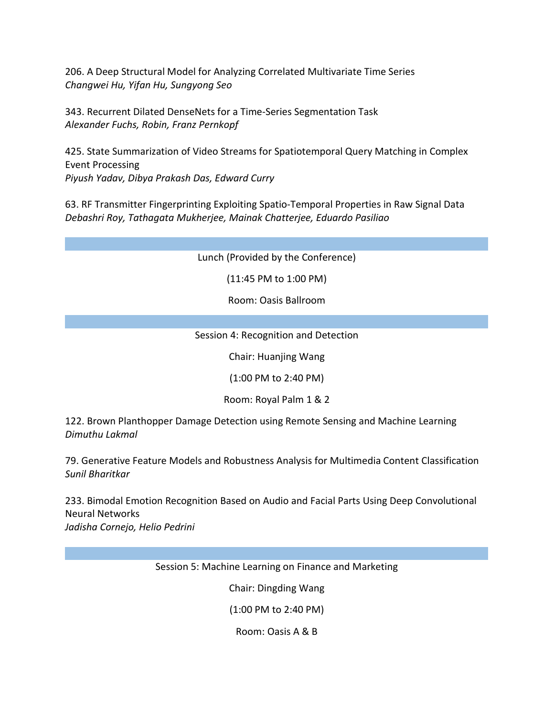206. A Deep Structural Model for Analyzing Correlated Multivariate Time Series *Changwei Hu, Yifan Hu, Sungyong Seo*

343. Recurrent Dilated DenseNets for a Time-Series Segmentation Task *Alexander Fuchs, Robin, Franz Pernkopf*

425. State Summarization of Video Streams for Spatiotemporal Query Matching in Complex Event Processing *Piyush Yadav, Dibya Prakash Das, Edward Curry*

63. RF Transmitter Fingerprinting Exploiting Spatio-Temporal Properties in Raw Signal Data *Debashri Roy, Tathagata Mukherjee, Mainak Chatterjee, Eduardo Pasiliao*

Lunch (Provided by the Conference)

(11:45 PM to 1:00 PM)

Room: Oasis Ballroom

Session 4: Recognition and Detection

Chair: Huanjing Wang

(1:00 PM to 2:40 PM)

Room: Royal Palm 1 & 2

122. Brown Planthopper Damage Detection using Remote Sensing and Machine Learning *Dimuthu Lakmal*

79. Generative Feature Models and Robustness Analysis for Multimedia Content Classification *Sunil Bharitkar*

233. Bimodal Emotion Recognition Based on Audio and Facial Parts Using Deep Convolutional Neural Networks *Jadisha Cornejo, Helio Pedrini*

Session 5: Machine Learning on Finance and Marketing

Chair: Dingding Wang

(1:00 PM to 2:40 PM)

Room: Oasis A & B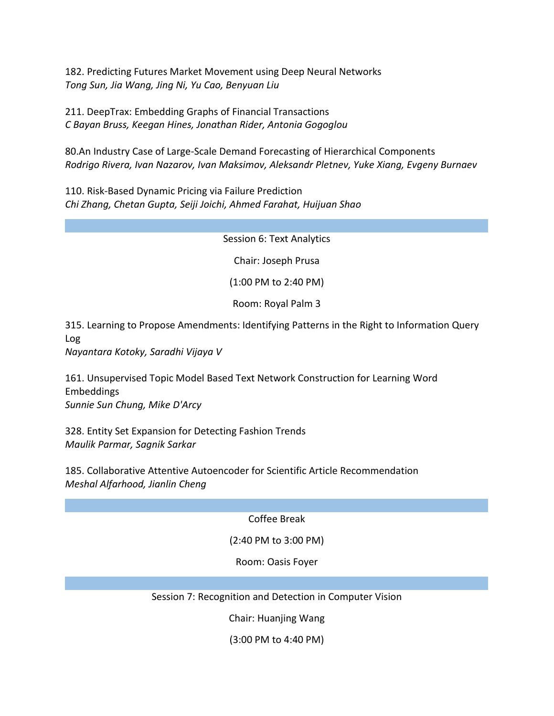182. Predicting Futures Market Movement using Deep Neural Networks *Tong Sun, Jia Wang, Jing Ni, Yu Cao, Benyuan Liu*

211. DeepTrax: Embedding Graphs of Financial Transactions *C Bayan Bruss, Keegan Hines, Jonathan Rider, Antonia Gogoglou*

80.An Industry Case of Large-Scale Demand Forecasting of Hierarchical Components *Rodrigo Rivera, Ivan Nazarov, Ivan Maksimov, Aleksandr Pletnev, Yuke Xiang, Evgeny Burnaev*

110. Risk-Based Dynamic Pricing via Failure Prediction *Chi Zhang, Chetan Gupta, Seiji Joichi, Ahmed Farahat, Huijuan Shao*

Session 6: Text Analytics

Chair: Joseph Prusa

(1:00 PM to 2:40 PM)

Room: Royal Palm 3

315. Learning to Propose Amendments: Identifying Patterns in the Right to Information Query Log

*Nayantara Kotoky, Saradhi Vijaya V*

161. Unsupervised Topic Model Based Text Network Construction for Learning Word Embeddings *Sunnie Sun Chung, Mike D'Arcy*

328. Entity Set Expansion for Detecting Fashion Trends *Maulik Parmar, Sagnik Sarkar*

185. Collaborative Attentive Autoencoder for Scientific Article Recommendation *Meshal Alfarhood, Jianlin Cheng*

Coffee Break

(2:40 PM to 3:00 PM)

Room: Oasis Foyer

Session 7: Recognition and Detection in Computer Vision

Chair: Huanjing Wang

(3:00 PM to 4:40 PM)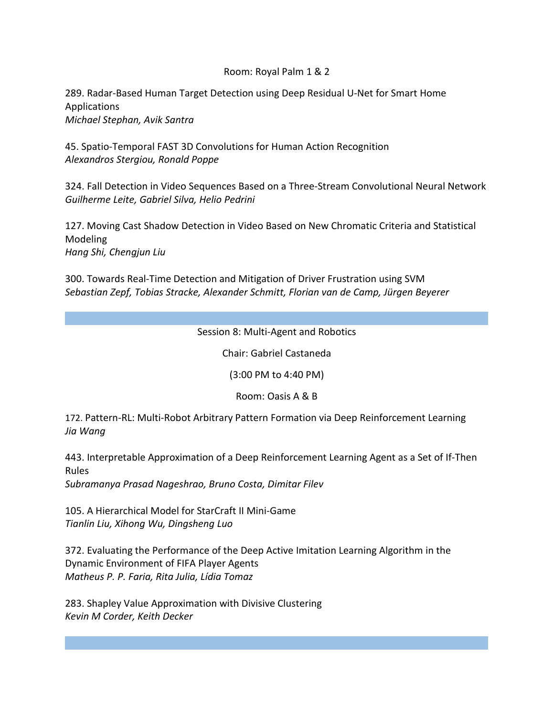### Room: Royal Palm 1 & 2

289. Radar-Based Human Target Detection using Deep Residual U-Net for Smart Home Applications *Michael Stephan, Avik Santra*

45. Spatio-Temporal FAST 3D Convolutions for Human Action Recognition *Alexandros Stergiou, Ronald Poppe*

324. Fall Detection in Video Sequences Based on a Three-Stream Convolutional Neural Network *Guilherme Leite, Gabriel Silva, Helio Pedrini*

127. Moving Cast Shadow Detection in Video Based on New Chromatic Criteria and Statistical Modeling *Hang Shi, Chengjun Liu*

300. Towards Real-Time Detection and Mitigation of Driver Frustration using SVM *Sebastian Zepf, Tobias Stracke, Alexander Schmitt, Florian van de Camp, Jürgen Beyerer*

### Session 8: Multi-Agent and Robotics

Chair: Gabriel Castaneda

(3:00 PM to 4:40 PM)

Room: Oasis A & B

172. Pattern-RL: Multi-Robot Arbitrary Pattern Formation via Deep Reinforcement Learning *Jia Wang*

443. Interpretable Approximation of a Deep Reinforcement Learning Agent as a Set of If-Then Rules

*Subramanya Prasad Nageshrao, Bruno Costa, Dimitar Filev*

105. A Hierarchical Model for StarCraft II Mini-Game *Tianlin Liu, Xihong Wu, Dingsheng Luo*

372. Evaluating the Performance of the Deep Active Imitation Learning Algorithm in the Dynamic Environment of FIFA Player Agents *Matheus P. P. Faria, Rita Julia, Lídia Tomaz*

283. Shapley Value Approximation with Divisive Clustering *Kevin M Corder, Keith Decker*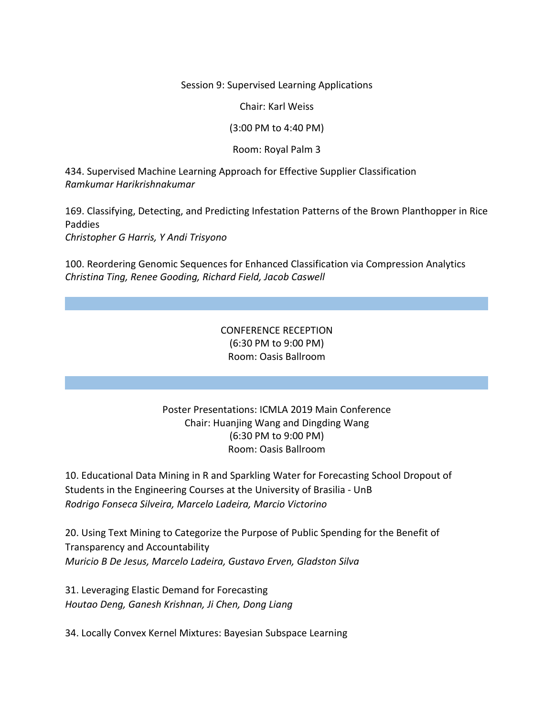Session 9: Supervised Learning Applications

Chair: Karl Weiss

(3:00 PM to 4:40 PM)

#### Room: Royal Palm 3

434. Supervised Machine Learning Approach for Effective Supplier Classification *Ramkumar Harikrishnakumar*

169. Classifying, Detecting, and Predicting Infestation Patterns of the Brown Planthopper in Rice Paddies *Christopher G Harris, Y Andi Trisyono*

100. Reordering Genomic Sequences for Enhanced Classification via Compression Analytics *Christina Ting, Renee Gooding, Richard Field, Jacob Caswell*

## CONFERENCE RECEPTION (6:30 PM to 9:00 PM) Room: Oasis Ballroom

### Poster Presentations: ICMLA 2019 Main Conference Chair: Huanjing Wang and Dingding Wang (6:30 PM to 9:00 PM) Room: Oasis Ballroom

10. Educational Data Mining in R and Sparkling Water for Forecasting School Dropout of Students in the Engineering Courses at the University of Brasilia - UnB *Rodrigo Fonseca Silveira, Marcelo Ladeira, Marcio Victorino*

20. Using Text Mining to Categorize the Purpose of Public Spending for the Benefit of Transparency and Accountability *Muricio B De Jesus, Marcelo Ladeira, Gustavo Erven, Gladston Silva*

31. Leveraging Elastic Demand for Forecasting *Houtao Deng, Ganesh Krishnan, Ji Chen, Dong Liang*

34. Locally Convex Kernel Mixtures: Bayesian Subspace Learning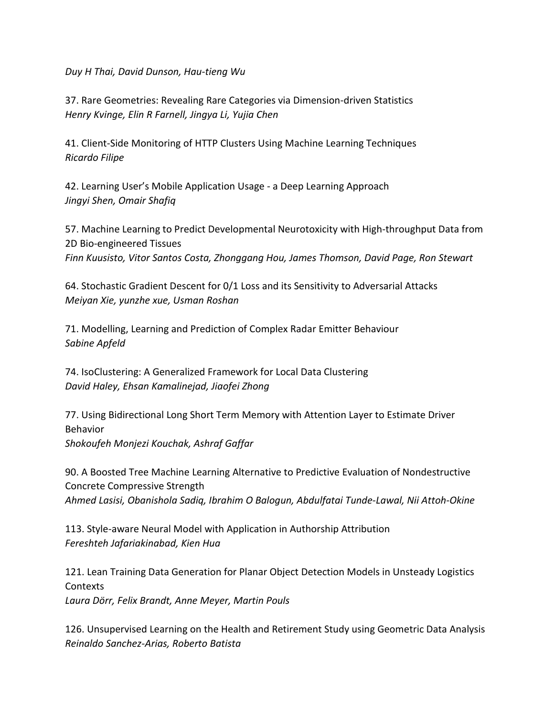*Duy H Thai, David Dunson, Hau-tieng Wu*

37. Rare Geometries: Revealing Rare Categories via Dimension-driven Statistics *Henry Kvinge, Elin R Farnell, Jingya Li, Yujia Chen*

41. Client-Side Monitoring of HTTP Clusters Using Machine Learning Techniques *Ricardo Filipe*

42. Learning User's Mobile Application Usage - a Deep Learning Approach *Jingyi Shen, Omair Shafiq*

57. Machine Learning to Predict Developmental Neurotoxicity with High-throughput Data from 2D Bio-engineered Tissues *Finn Kuusisto, Vitor Santos Costa, Zhonggang Hou, James Thomson, David Page, Ron Stewart*

64. Stochastic Gradient Descent for 0/1 Loss and its Sensitivity to Adversarial Attacks *Meiyan Xie, yunzhe xue, Usman Roshan*

71. Modelling, Learning and Prediction of Complex Radar Emitter Behaviour *Sabine Apfeld*

74. IsoClustering: A Generalized Framework for Local Data Clustering *David Haley, Ehsan Kamalinejad, Jiaofei Zhong*

77. Using Bidirectional Long Short Term Memory with Attention Layer to Estimate Driver Behavior *Shokoufeh Monjezi Kouchak, Ashraf Gaffar*

90. A Boosted Tree Machine Learning Alternative to Predictive Evaluation of Nondestructive Concrete Compressive Strength *Ahmed Lasisi, Obanishola Sadiq, Ibrahim O Balogun, Abdulfatai Tunde-Lawal, Nii Attoh-Okine*

113. Style-aware Neural Model with Application in Authorship Attribution *Fereshteh Jafariakinabad, Kien Hua*

121. Lean Training Data Generation for Planar Object Detection Models in Unsteady Logistics **Contexts** 

*Laura Dörr, Felix Brandt, Anne Meyer, Martin Pouls*

126. Unsupervised Learning on the Health and Retirement Study using Geometric Data Analysis *Reinaldo Sanchez-Arias, Roberto Batista*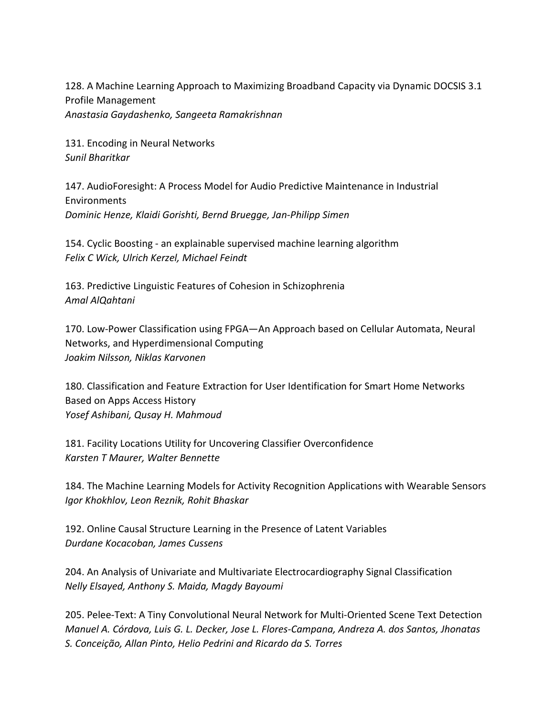128. A Machine Learning Approach to Maximizing Broadband Capacity via Dynamic DOCSIS 3.1 Profile Management *Anastasia Gaydashenko, Sangeeta Ramakrishnan*

131. Encoding in Neural Networks *Sunil Bharitkar*

147. AudioForesight: A Process Model for Audio Predictive Maintenance in Industrial Environments *Dominic Henze, Klaidi Gorishti, Bernd Bruegge, Jan-Philipp Simen*

154. Cyclic Boosting - an explainable supervised machine learning algorithm *Felix C Wick, Ulrich Kerzel, Michael Feindt*

163. Predictive Linguistic Features of Cohesion in Schizophrenia *Amal AlQahtani*

170. Low-Power Classification using FPGA—An Approach based on Cellular Automata, Neural Networks, and Hyperdimensional Computing *Joakim Nilsson, Niklas Karvonen*

180. Classification and Feature Extraction for User Identification for Smart Home Networks Based on Apps Access History *Yosef Ashibani, Qusay H. Mahmoud*

181. Facility Locations Utility for Uncovering Classifier Overconfidence *Karsten T Maurer, Walter Bennette*

184. The Machine Learning Models for Activity Recognition Applications with Wearable Sensors *Igor Khokhlov, Leon Reznik, Rohit Bhaskar*

192. Online Causal Structure Learning in the Presence of Latent Variables *Durdane Kocacoban, James Cussens*

204. An Analysis of Univariate and Multivariate Electrocardiography Signal Classification *Nelly Elsayed, Anthony S. Maida, Magdy Bayoumi*

205. Pelee-Text: A Tiny Convolutional Neural Network for Multi-Oriented Scene Text Detection *Manuel A. Córdova, Luis G. L. Decker, Jose L. Flores-Campana, Andreza A. dos Santos, Jhonatas S. Conceição, Allan Pinto, Helio Pedrini and Ricardo da S. Torres*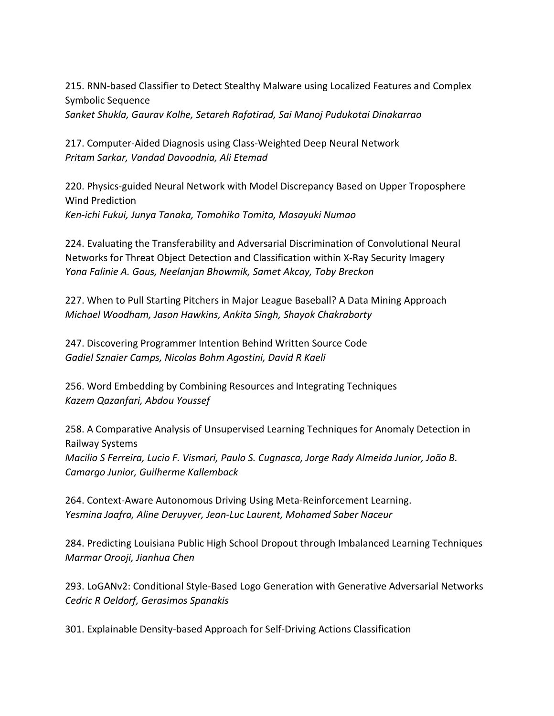215. RNN-based Classifier to Detect Stealthy Malware using Localized Features and Complex Symbolic Sequence

*Sanket Shukla, Gaurav Kolhe, Setareh Rafatirad, Sai Manoj Pudukotai Dinakarrao*

217. Computer-Aided Diagnosis using Class-Weighted Deep Neural Network *Pritam Sarkar, Vandad Davoodnia, Ali Etemad*

220. Physics-guided Neural Network with Model Discrepancy Based on Upper Troposphere Wind Prediction *Ken-ichi Fukui, Junya Tanaka, Tomohiko Tomita, Masayuki Numao*

224. Evaluating the Transferability and Adversarial Discrimination of Convolutional Neural Networks for Threat Object Detection and Classification within X-Ray Security Imagery *Yona Falinie A. Gaus, Neelanjan Bhowmik, Samet Akcay, Toby Breckon*

227. When to Pull Starting Pitchers in Major League Baseball? A Data Mining Approach *Michael Woodham, Jason Hawkins, Ankita Singh, Shayok Chakraborty*

247. Discovering Programmer Intention Behind Written Source Code *Gadiel Sznaier Camps, Nicolas Bohm Agostini, David R Kaeli*

256. Word Embedding by Combining Resources and Integrating Techniques *Kazem Qazanfari, Abdou Youssef*

258. A Comparative Analysis of Unsupervised Learning Techniques for Anomaly Detection in Railway Systems *Macilio S Ferreira, Lucio F. Vismari, Paulo S. Cugnasca, Jorge Rady Almeida Junior, João B. Camargo Junior, Guilherme Kallemback* 

264. Context-Aware Autonomous Driving Using Meta-Reinforcement Learning. *Yesmina Jaafra, Aline Deruyver, Jean-Luc Laurent, Mohamed Saber Naceur*

284. Predicting Louisiana Public High School Dropout through Imbalanced Learning Techniques *Marmar Orooji, Jianhua Chen*

293. LoGANv2: Conditional Style-Based Logo Generation with Generative Adversarial Networks *Cedric R Oeldorf, Gerasimos Spanakis*

301. Explainable Density-based Approach for Self-Driving Actions Classification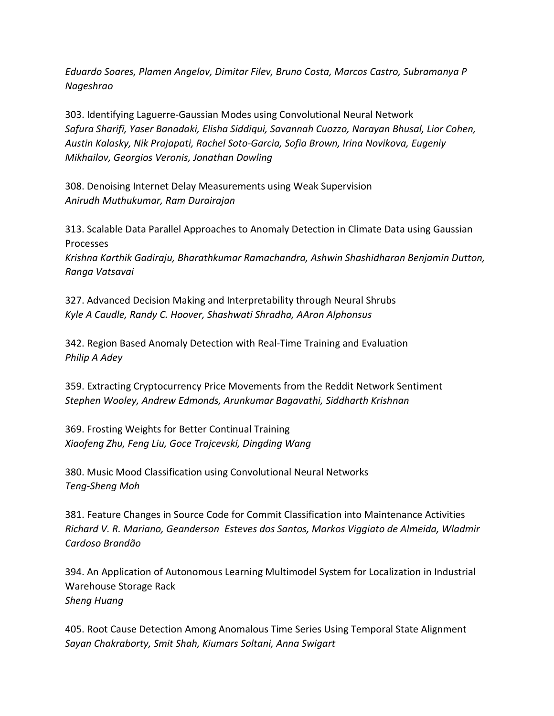*Eduardo Soares, Plamen Angelov, Dimitar Filev, Bruno Costa, Marcos Castro, Subramanya P Nageshrao*

303. Identifying Laguerre-Gaussian Modes using Convolutional Neural Network *Safura Sharifi, Yaser Banadaki, Elisha Siddiqui, Savannah Cuozzo, Narayan Bhusal, Lior Cohen, Austin Kalasky, Nik Prajapati, Rachel Soto-Garcia, Sofia Brown, Irina Novikova, Eugeniy Mikhailov, Georgios Veronis, Jonathan Dowling*

308. Denoising Internet Delay Measurements using Weak Supervision *Anirudh Muthukumar, Ram Durairajan*

313. Scalable Data Parallel Approaches to Anomaly Detection in Climate Data using Gaussian Processes *Krishna Karthik Gadiraju, Bharathkumar Ramachandra, Ashwin Shashidharan Benjamin Dutton,* 

*Ranga Vatsavai*

327. Advanced Decision Making and Interpretability through Neural Shrubs *Kyle A Caudle, Randy C. Hoover, Shashwati Shradha, AAron Alphonsus*

342. Region Based Anomaly Detection with Real-Time Training and Evaluation *Philip A Adey*

359. Extracting Cryptocurrency Price Movements from the Reddit Network Sentiment *Stephen Wooley, Andrew Edmonds, Arunkumar Bagavathi, Siddharth Krishnan*

369. Frosting Weights for Better Continual Training *Xiaofeng Zhu, Feng Liu, Goce Trajcevski, Dingding Wang*

380. Music Mood Classification using Convolutional Neural Networks *Teng-Sheng Moh*

381. Feature Changes in Source Code for Commit Classification into Maintenance Activities *Richard V. R. Mariano, Geanderson Esteves dos Santos, Markos Viggiato de Almeida, Wladmir Cardoso Brandão*

394. An Application of Autonomous Learning Multimodel System for Localization in Industrial Warehouse Storage Rack *Sheng Huang*

405. Root Cause Detection Among Anomalous Time Series Using Temporal State Alignment *Sayan Chakraborty, Smit Shah, Kiumars Soltani, Anna Swigart*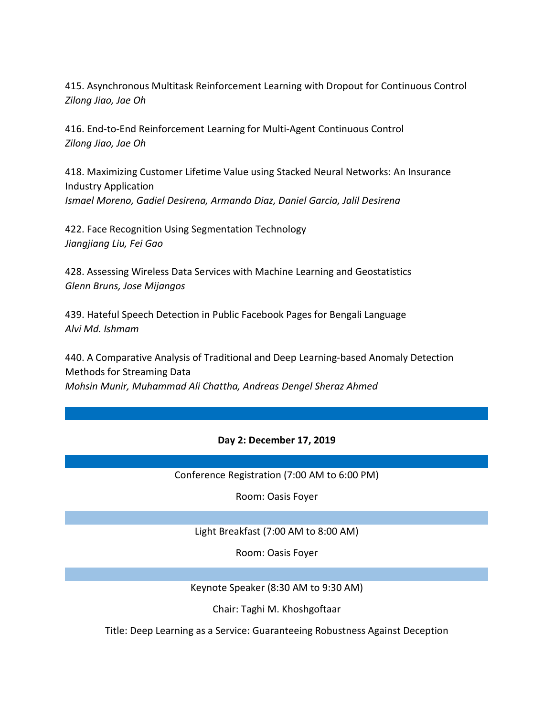415. Asynchronous Multitask Reinforcement Learning with Dropout for Continuous Control *Zilong Jiao, Jae Oh*

416. End-to-End Reinforcement Learning for Multi-Agent Continuous Control *Zilong Jiao, Jae Oh*

418. Maximizing Customer Lifetime Value using Stacked Neural Networks: An Insurance Industry Application *Ismael Moreno, Gadiel Desirena, Armando Diaz, Daniel Garcia, Jalil Desirena*

422. Face Recognition Using Segmentation Technology *Jiangjiang Liu, Fei Gao*

428. Assessing Wireless Data Services with Machine Learning and Geostatistics *Glenn Bruns, Jose Mijangos*

439. Hateful Speech Detection in Public Facebook Pages for Bengali Language *Alvi Md. Ishmam*

440. A Comparative Analysis of Traditional and Deep Learning-based Anomaly Detection Methods for Streaming Data *Mohsin Munir, Muhammad Ali Chattha, Andreas Dengel Sheraz Ahmed*

#### **Day 2: December 17, 2019**

Conference Registration (7:00 AM to 6:00 PM)

Room: Oasis Foyer

Light Breakfast (7:00 AM to 8:00 AM)

Room: Oasis Foyer

Keynote Speaker (8:30 AM to 9:30 AM)

Chair: Taghi M. Khoshgoftaar

Title: Deep Learning as a Service: Guaranteeing Robustness Against Deception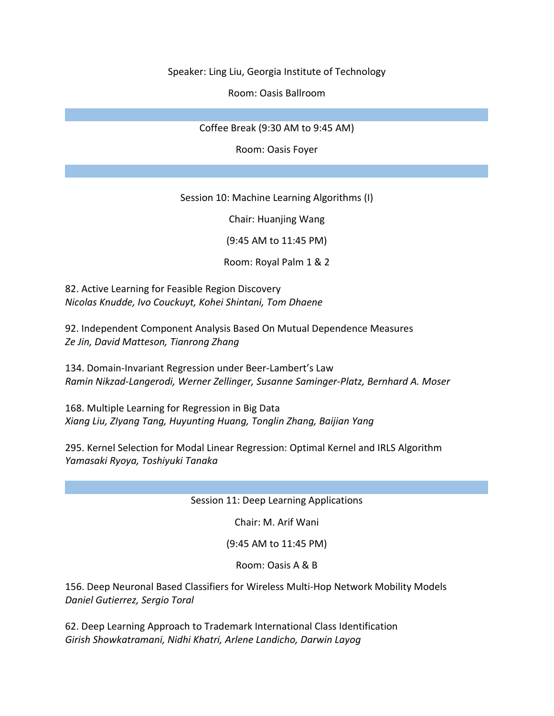Speaker: Ling Liu, Georgia Institute of Technology

Room: Oasis Ballroom

Coffee Break (9:30 AM to 9:45 AM)

Room: Oasis Foyer

Session 10: Machine Learning Algorithms (I)

Chair: Huanjing Wang

(9:45 AM to 11:45 PM)

Room: Royal Palm 1 & 2

82. Active Learning for Feasible Region Discovery *Nicolas Knudde, Ivo Couckuyt, Kohei Shintani, Tom Dhaene*

92. Independent Component Analysis Based On Mutual Dependence Measures *Ze Jin, David Matteson, Tianrong Zhang*

134. Domain-Invariant Regression under Beer-Lambert's Law *Ramin Nikzad-Langerodi, Werner Zellinger, Susanne Saminger-Platz, Bernhard A. Moser*

168. Multiple Learning for Regression in Big Data *Xiang Liu, ZIyang Tang, Huyunting Huang, Tonglin Zhang, Baijian Yang*

295. Kernel Selection for Modal Linear Regression: Optimal Kernel and IRLS Algorithm *Yamasaki Ryoya, Toshiyuki Tanaka*

Session 11: Deep Learning Applications

Chair: M. Arif Wani

(9:45 AM to 11:45 PM)

Room: Oasis A & B

156. Deep Neuronal Based Classifiers for Wireless Multi-Hop Network Mobility Models *Daniel Gutierrez, Sergio Toral*

62. Deep Learning Approach to Trademark International Class Identification *Girish Showkatramani, Nidhi Khatri, Arlene Landicho, Darwin Layog*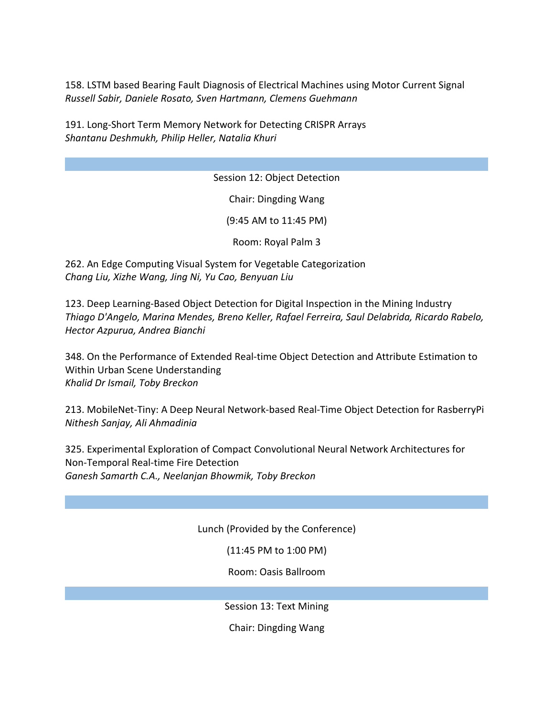158. LSTM based Bearing Fault Diagnosis of Electrical Machines using Motor Current Signal *Russell Sabir, Daniele Rosato, Sven Hartmann, Clemens Guehmann*

191. Long-Short Term Memory Network for Detecting CRISPR Arrays *Shantanu Deshmukh, Philip Heller, Natalia Khuri*

Session 12: Object Detection

Chair: Dingding Wang

(9:45 AM to 11:45 PM)

Room: Royal Palm 3

262. An Edge Computing Visual System for Vegetable Categorization *Chang Liu, Xizhe Wang, Jing Ni, Yu Cao, Benyuan Liu*

123. Deep Learning-Based Object Detection for Digital Inspection in the Mining Industry *Thiago D'Angelo, Marina Mendes, Breno Keller, Rafael Ferreira, Saul Delabrida, Ricardo Rabelo, Hector Azpurua, Andrea Bianchi*

348. On the Performance of Extended Real-time Object Detection and Attribute Estimation to Within Urban Scene Understanding *Khalid Dr Ismail, Toby Breckon*

213. MobileNet-Tiny: A Deep Neural Network-based Real-Time Object Detection for RasberryPi *Nithesh Sanjay, Ali Ahmadinia*

325. Experimental Exploration of Compact Convolutional Neural Network Architectures for Non-Temporal Real-time Fire Detection *Ganesh Samarth C.A., Neelanjan Bhowmik, Toby Breckon*

Lunch (Provided by the Conference)

(11:45 PM to 1:00 PM)

Room: Oasis Ballroom

Session 13: Text Mining

Chair: Dingding Wang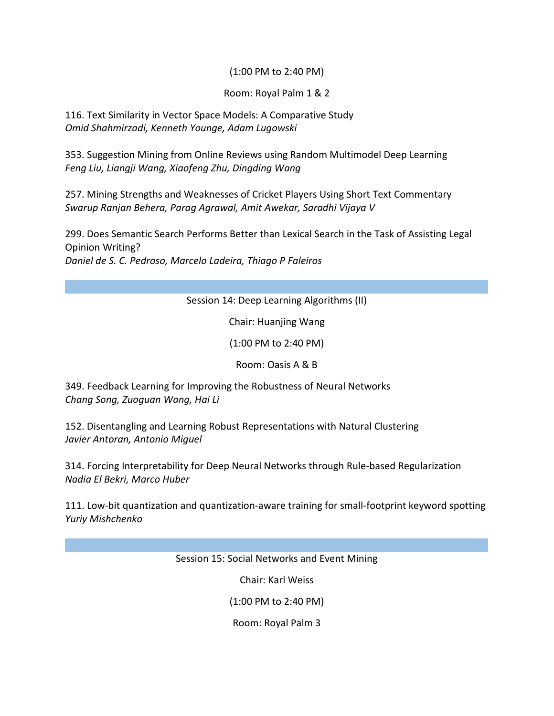### (1:00 PM to 2:40 PM)

### Room: Royal Palm 1 & 2

116. Text Similarity in Vector Space Models: A Comparative Study *Omid Shahmirzadi, Kenneth Younge, Adam Lugowski*

353. Suggestion Mining from Online Reviews using Random Multimodel Deep Learning *Feng Liu, Liangji Wang, Xiaofeng Zhu, Dingding Wang*

257. Mining Strengths and Weaknesses of Cricket Players Using Short Text Commentary *Swarup Ranjan Behera, Parag Agrawal, Amit Awekar, Saradhi Vijaya V*

299. Does Semantic Search Performs Better than Lexical Search in the Task of Assisting Legal Opinion Writing? *Daniel de S. C. Pedroso, Marcelo Ladeira, Thiago P Faleiros*

Session 14: Deep Learning Algorithms (II)

Chair: Huanjing Wang

(1:00 PM to 2:40 PM)

Room: Oasis A & B

349. Feedback Learning for Improving the Robustness of Neural Networks *Chang Song, Zuoguan Wang, Hai Li*

152. Disentangling and Learning Robust Representations with Natural Clustering *Javier Antoran, Antonio Miguel*

314. Forcing Interpretability for Deep Neural Networks through Rule-based Regularization *Nadia El Bekri, Marco Huber*

111. Low-bit quantization and quantization-aware training for small-footprint keyword spotting *Yuriy Mishchenko*

Session 15: Social Networks and Event Mining

Chair: Karl Weiss

(1:00 PM to 2:40 PM)

Room: Royal Palm 3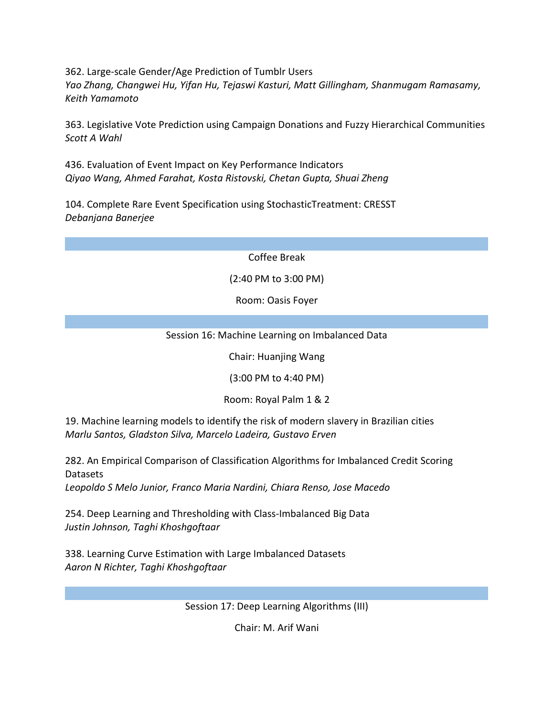362. Large-scale Gender/Age Prediction of Tumblr Users *Yao Zhang, Changwei Hu, Yifan Hu, Tejaswi Kasturi, Matt Gillingham, Shanmugam Ramasamy, Keith Yamamoto*

363. Legislative Vote Prediction using Campaign Donations and Fuzzy Hierarchical Communities *Scott A Wahl*

436. Evaluation of Event Impact on Key Performance Indicators *Qiyao Wang, Ahmed Farahat, Kosta Ristovski, Chetan Gupta, Shuai Zheng*

104. Complete Rare Event Specification using StochasticTreatment: CRESST *Debanjana Banerjee*

Coffee Break

(2:40 PM to 3:00 PM)

Room: Oasis Foyer

## Session 16: Machine Learning on Imbalanced Data

Chair: Huanjing Wang

(3:00 PM to 4:40 PM)

Room: Royal Palm 1 & 2

19. Machine learning models to identify the risk of modern slavery in Brazilian cities *Marlu Santos, Gladston Silva, Marcelo Ladeira, Gustavo Erven*

282. An Empirical Comparison of Classification Algorithms for Imbalanced Credit Scoring Datasets

*Leopoldo S Melo Junior, Franco Maria Nardini, Chiara Renso, Jose Macedo*

254. Deep Learning and Thresholding with Class-Imbalanced Big Data *Justin Johnson, Taghi Khoshgoftaar*

338. Learning Curve Estimation with Large Imbalanced Datasets *Aaron N Richter, Taghi Khoshgoftaar*

Session 17: Deep Learning Algorithms (III)

Chair: M. Arif Wani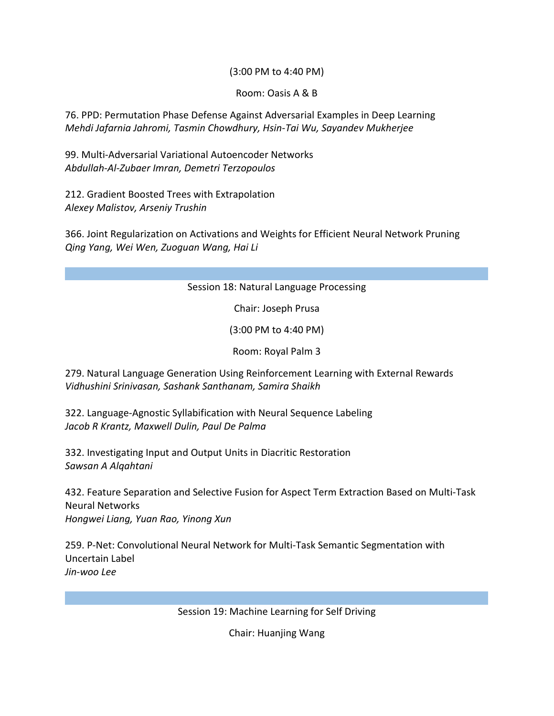### (3:00 PM to 4:40 PM)

#### Room: Oasis A & B

76. PPD: Permutation Phase Defense Against Adversarial Examples in Deep Learning *Mehdi Jafarnia Jahromi, Tasmin Chowdhury, Hsin-Tai Wu, Sayandev Mukherjee*

99. Multi-Adversarial Variational Autoencoder Networks *Abdullah-Al-Zubaer Imran, Demetri Terzopoulos*

212. Gradient Boosted Trees with Extrapolation *Alexey Malistov, Arseniy Trushin*

366. Joint Regularization on Activations and Weights for Efficient Neural Network Pruning *Qing Yang, Wei Wen, Zuoguan Wang, Hai Li*

### Session 18: Natural Language Processing

Chair: Joseph Prusa

(3:00 PM to 4:40 PM)

Room: Royal Palm 3

279. Natural Language Generation Using Reinforcement Learning with External Rewards *Vidhushini Srinivasan, Sashank Santhanam, Samira Shaikh*

322. Language-Agnostic Syllabification with Neural Sequence Labeling *Jacob R Krantz, Maxwell Dulin, Paul De Palma*

332. Investigating Input and Output Units in Diacritic Restoration *Sawsan A Alqahtani*

432. Feature Separation and Selective Fusion for Aspect Term Extraction Based on Multi-Task Neural Networks *Hongwei Liang, Yuan Rao, Yinong Xun*

259. P-Net: Convolutional Neural Network for Multi-Task Semantic Segmentation with Uncertain Label *Jin-woo Lee*

Session 19: Machine Learning for Self Driving

Chair: Huanjing Wang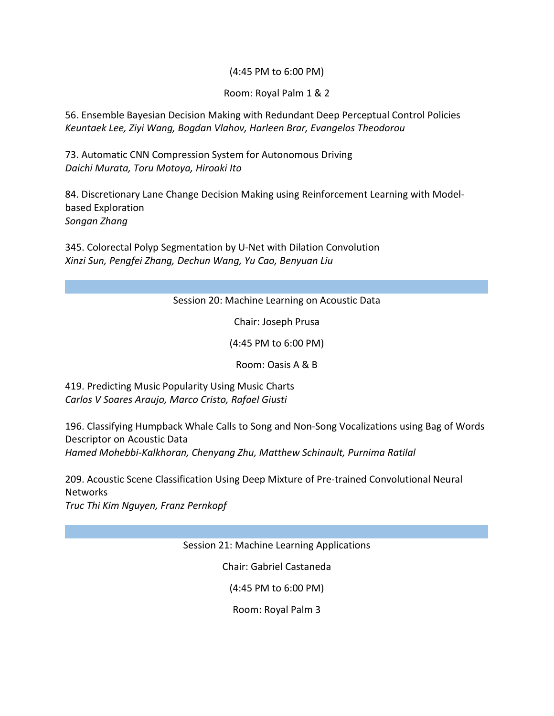### (4:45 PM to 6:00 PM)

### Room: Royal Palm 1 & 2

56. Ensemble Bayesian Decision Making with Redundant Deep Perceptual Control Policies *Keuntaek Lee, Ziyi Wang, Bogdan Vlahov, Harleen Brar, Evangelos Theodorou*

73. Automatic CNN Compression System for Autonomous Driving *Daichi Murata, Toru Motoya, Hiroaki Ito*

84. Discretionary Lane Change Decision Making using Reinforcement Learning with Modelbased Exploration *Songan Zhang*

345. Colorectal Polyp Segmentation by U-Net with Dilation Convolution *Xinzi Sun, Pengfei Zhang, Dechun Wang, Yu Cao, Benyuan Liu*

### Session 20: Machine Learning on Acoustic Data

Chair: Joseph Prusa

(4:45 PM to 6:00 PM)

Room: Oasis A & B

419. Predicting Music Popularity Using Music Charts *Carlos V Soares Araujo, Marco Cristo, Rafael Giusti*

196. Classifying Humpback Whale Calls to Song and Non-Song Vocalizations using Bag of Words Descriptor on Acoustic Data *Hamed Mohebbi-Kalkhoran, Chenyang Zhu, Matthew Schinault, Purnima Ratilal*

209. Acoustic Scene Classification Using Deep Mixture of Pre-trained Convolutional Neural **Networks** 

*Truc Thi Kim Nguyen, Franz Pernkopf*

Session 21: Machine Learning Applications

Chair: Gabriel Castaneda

(4:45 PM to 6:00 PM)

Room: Royal Palm 3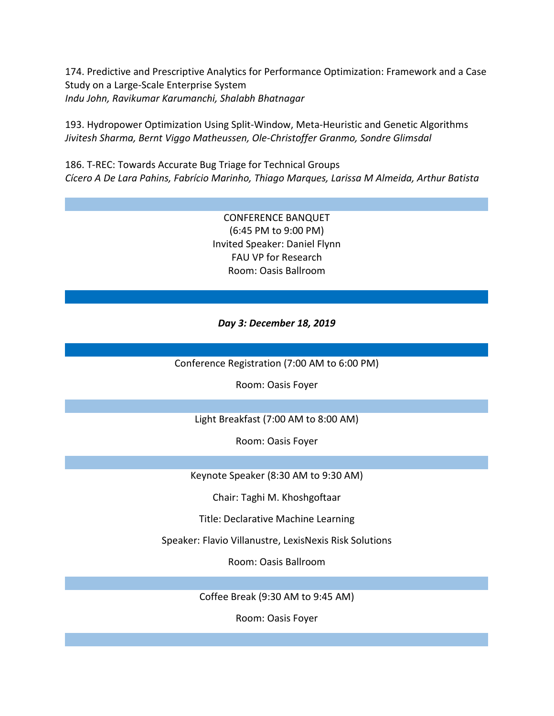174. Predictive and Prescriptive Analytics for Performance Optimization: Framework and a Case Study on a Large-Scale Enterprise System *Indu John, Ravikumar Karumanchi, Shalabh Bhatnagar*

193. Hydropower Optimization Using Split-Window, Meta-Heuristic and Genetic Algorithms *Jivitesh Sharma, Bernt Viggo Matheussen, Ole-Christoffer Granmo, Sondre Glimsdal*

186. T-REC: Towards Accurate Bug Triage for Technical Groups *Cícero A De Lara Pahins, Fabrício Marinho, Thiago Marques, Larissa M Almeida, Arthur Batista*

> CONFERENCE BANQUET (6:45 PM to 9:00 PM) Invited Speaker: Daniel Flynn FAU VP for Research Room: Oasis Ballroom

*Day 3: December 18, 2019*

Conference Registration (7:00 AM to 6:00 PM)

Room: Oasis Foyer

Light Breakfast (7:00 AM to 8:00 AM)

Room: Oasis Foyer

Keynote Speaker (8:30 AM to 9:30 AM)

Chair: Taghi M. Khoshgoftaar

Title: Declarative Machine Learning

Speaker: Flavio Villanustre, LexisNexis Risk Solutions

Room: Oasis Ballroom

Coffee Break (9:30 AM to 9:45 AM)

Room: Oasis Foyer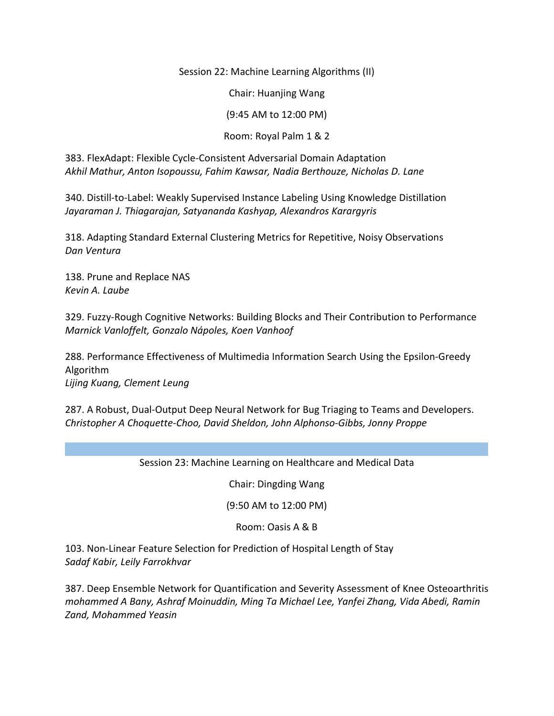Session 22: Machine Learning Algorithms (II)

Chair: Huanjing Wang

(9:45 AM to 12:00 PM)

Room: Royal Palm 1 & 2

383. FlexAdapt: Flexible Cycle-Consistent Adversarial Domain Adaptation *Akhil Mathur, Anton Isopoussu, Fahim Kawsar, Nadia Berthouze, Nicholas D. Lane*

340. Distill-to-Label: Weakly Supervised Instance Labeling Using Knowledge Distillation *Jayaraman J. Thiagarajan, Satyananda Kashyap, Alexandros Karargyris*

318. Adapting Standard External Clustering Metrics for Repetitive, Noisy Observations *Dan Ventura*

138. Prune and Replace NAS *Kevin A. Laube*

329. Fuzzy-Rough Cognitive Networks: Building Blocks and Their Contribution to Performance *Marnick Vanloffelt, Gonzalo Nápoles, Koen Vanhoof*

288. Performance Effectiveness of Multimedia Information Search Using the Epsilon-Greedy Algorithm *Lijing Kuang, Clement Leung*

287. A Robust, Dual-Output Deep Neural Network for Bug Triaging to Teams and Developers. *Christopher A Choquette-Choo, David Sheldon, John Alphonso-Gibbs, Jonny Proppe*

Session 23: Machine Learning on Healthcare and Medical Data

Chair: Dingding Wang

(9:50 AM to 12:00 PM)

Room: Oasis A & B

103. Non-Linear Feature Selection for Prediction of Hospital Length of Stay *Sadaf Kabir, Leily Farrokhvar*

387. Deep Ensemble Network for Quantification and Severity Assessment of Knee Osteoarthritis *mohammed A Bany, Ashraf Moinuddin, Ming Ta Michael Lee, Yanfei Zhang, Vida Abedi, Ramin Zand, Mohammed Yeasin*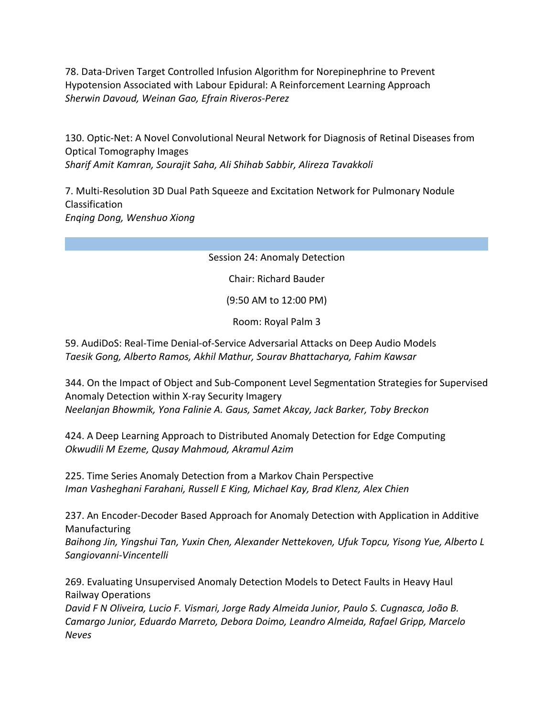78. Data-Driven Target Controlled Infusion Algorithm for Norepinephrine to Prevent Hypotension Associated with Labour Epidural: A Reinforcement Learning Approach *Sherwin Davoud, Weinan Gao, Efrain Riveros-Perez*

130. Optic-Net: A Novel Convolutional Neural Network for Diagnosis of Retinal Diseases from Optical Tomography Images *Sharif Amit Kamran, Sourajit Saha, Ali Shihab Sabbir, Alireza Tavakkoli*

7. Multi-Resolution 3D Dual Path Squeeze and Excitation Network for Pulmonary Nodule Classification *Enqing Dong, Wenshuo Xiong*

Session 24: Anomaly Detection

Chair: Richard Bauder

(9:50 AM to 12:00 PM)

Room: Royal Palm 3

59. AudiDoS: Real-Time Denial-of-Service Adversarial Attacks on Deep Audio Models *Taesik Gong, Alberto Ramos, Akhil Mathur, Sourav Bhattacharya, Fahim Kawsar*

344. On the Impact of Object and Sub-Component Level Segmentation Strategies for Supervised Anomaly Detection within X-ray Security Imagery *Neelanjan Bhowmik, Yona Falinie A. Gaus, Samet Akcay, Jack Barker, Toby Breckon*

424. A Deep Learning Approach to Distributed Anomaly Detection for Edge Computing *Okwudili M Ezeme, Qusay Mahmoud, Akramul Azim*

225. Time Series Anomaly Detection from a Markov Chain Perspective *Iman Vasheghani Farahani, Russell E King, Michael Kay, Brad Klenz, Alex Chien*

237. An Encoder-Decoder Based Approach for Anomaly Detection with Application in Additive Manufacturing

*Baihong Jin, Yingshui Tan, Yuxin Chen, Alexander Nettekoven, Ufuk Topcu, Yisong Yue, Alberto L Sangiovanni-Vincentelli*

269. Evaluating Unsupervised Anomaly Detection Models to Detect Faults in Heavy Haul Railway Operations

*David F N Oliveira, Lucio F. Vismari, Jorge Rady Almeida Junior, Paulo S. Cugnasca, João B. Camargo Junior, Eduardo Marreto, Debora Doimo, Leandro Almeida, Rafael Gripp, Marcelo Neves*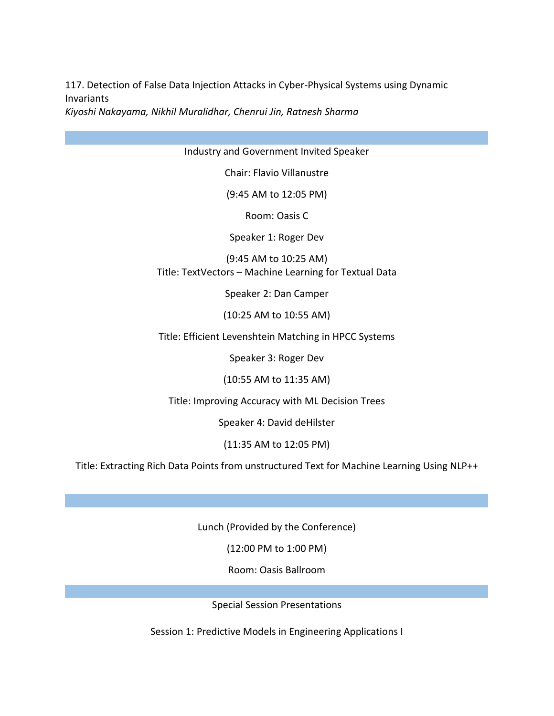117. Detection of False Data Injection Attacks in Cyber-Physical Systems using Dynamic Invariants

*Kiyoshi Nakayama, Nikhil Muralidhar, Chenrui Jin, Ratnesh Sharma*

Industry and Government Invited Speaker

Chair: Flavio Villanustre

(9:45 AM to 12:05 PM)

Room: Oasis C

Speaker 1: Roger Dev

(9:45 AM to 10:25 AM) Title: TextVectors – Machine Learning for Textual Data

Speaker 2: Dan Camper

(10:25 AM to 10:55 AM)

Title: Efficient Levenshtein Matching in HPCC Systems

Speaker 3: Roger Dev

(10:55 AM to 11:35 AM)

Title: Improving Accuracy with ML Decision Trees

Speaker 4: David deHilster

(11:35 AM to 12:05 PM)

Title: Extracting Rich Data Points from unstructured Text for Machine Learning Using NLP++

Lunch (Provided by the Conference)

(12:00 PM to 1:00 PM)

Room: Oasis Ballroom

Special Session Presentations

Session 1: Predictive Models in Engineering Applications I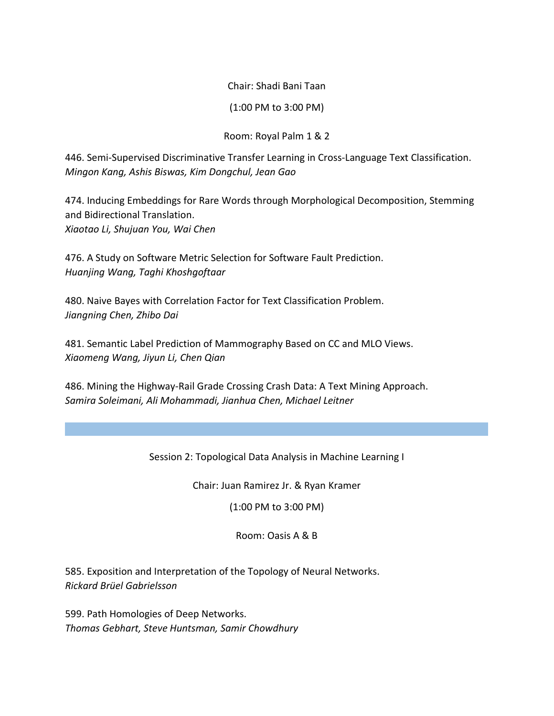Chair: Shadi Bani Taan

(1:00 PM to 3:00 PM)

Room: Royal Palm 1 & 2

446. Semi-Supervised Discriminative Transfer Learning in Cross-Language Text Classification. *Mingon Kang, Ashis Biswas, Kim Dongchul, Jean Gao*

474. Inducing Embeddings for Rare Words through Morphological Decomposition, Stemming and Bidirectional Translation. *Xiaotao Li, Shujuan You, Wai Chen*

476. A Study on Software Metric Selection for Software Fault Prediction. *Huanjing Wang, Taghi Khoshgoftaar*

480. Naive Bayes with Correlation Factor for Text Classification Problem. *Jiangning Chen, Zhibo Dai*

481. Semantic Label Prediction of Mammography Based on CC and MLO Views. *Xiaomeng Wang, Jiyun Li, Chen Qian*

486. Mining the Highway-Rail Grade Crossing Crash Data: A Text Mining Approach. *Samira Soleimani, Ali Mohammadi, Jianhua Chen, Michael Leitner*

Session 2: Topological Data Analysis in Machine Learning I

Chair: Juan Ramirez Jr. & Ryan Kramer

(1:00 PM to 3:00 PM)

Room: Oasis A & B

585. Exposition and Interpretation of the Topology of Neural Networks. *Rickard Brüel Gabrielsson*

599. Path Homologies of Deep Networks. *Thomas Gebhart, Steve Huntsman, Samir Chowdhury*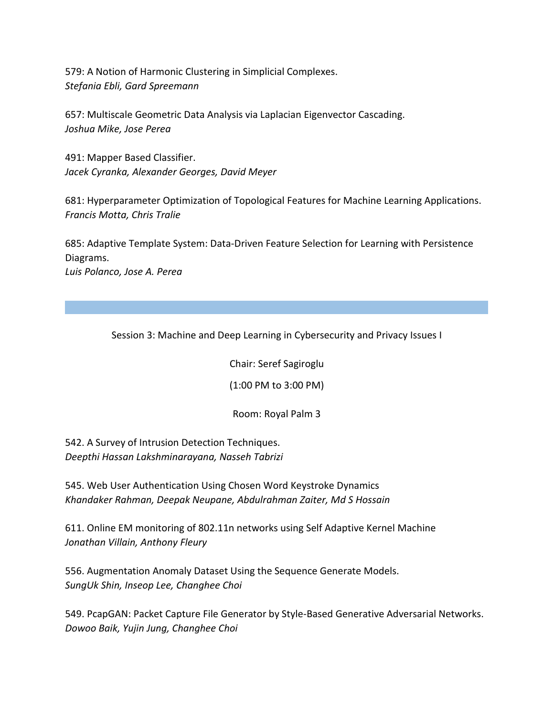579: A Notion of Harmonic Clustering in Simplicial Complexes. *Stefania Ebli, Gard Spreemann*

657: Multiscale Geometric Data Analysis via Laplacian Eigenvector Cascading. *Joshua Mike, Jose Perea* 

491: Mapper Based Classifier. *Jacek Cyranka, Alexander Georges, David Meyer*

681: Hyperparameter Optimization of Topological Features for Machine Learning Applications. *Francis Motta, Chris Tralie*

685: Adaptive Template System: Data-Driven Feature Selection for Learning with Persistence Diagrams.

*Luis Polanco, Jose A. Perea*

Session 3: Machine and Deep Learning in Cybersecurity and Privacy Issues I

Chair: Seref Sagiroglu

(1:00 PM to 3:00 PM)

Room: Royal Palm 3

542. A Survey of Intrusion Detection Techniques. *Deepthi Hassan Lakshminarayana, Nasseh Tabrizi*

545. Web User Authentication Using Chosen Word Keystroke Dynamics *Khandaker Rahman, Deepak Neupane, Abdulrahman Zaiter, Md S Hossain*

611. Online EM monitoring of 802.11n networks using Self Adaptive Kernel Machine *Jonathan Villain, Anthony Fleury*

556. Augmentation Anomaly Dataset Using the Sequence Generate Models. *SungUk Shin, Inseop Lee, Changhee Choi*

549. PcapGAN: Packet Capture File Generator by Style-Based Generative Adversarial Networks. *Dowoo Baik, Yujin Jung, Changhee Choi*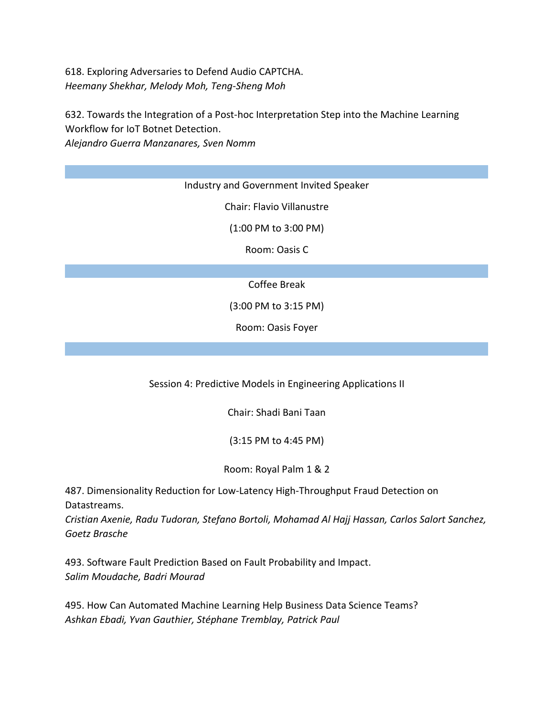618. Exploring Adversaries to Defend Audio CAPTCHA. *Heemany Shekhar, Melody Moh, Teng-Sheng Moh*

632. Towards the Integration of a Post-hoc Interpretation Step into the Machine Learning Workflow for IoT Botnet Detection. *Alejandro Guerra Manzanares, Sven Nomm*

Industry and Government Invited Speaker

Chair: Flavio Villanustre

(1:00 PM to 3:00 PM)

Room: Oasis C

Coffee Break

(3:00 PM to 3:15 PM)

Room: Oasis Foyer

Session 4: Predictive Models in Engineering Applications II

Chair: Shadi Bani Taan

(3:15 PM to 4:45 PM)

Room: Royal Palm 1 & 2

487. Dimensionality Reduction for Low-Latency High-Throughput Fraud Detection on Datastreams.

*Cristian Axenie, Radu Tudoran, Stefano Bortoli, Mohamad Al Hajj Hassan, Carlos Salort Sanchez, Goetz Brasche*

493. Software Fault Prediction Based on Fault Probability and Impact. *Salim Moudache, Badri Mourad*

495. How Can Automated Machine Learning Help Business Data Science Teams? *Ashkan Ebadi, Yvan Gauthier, Stéphane Tremblay, Patrick Paul*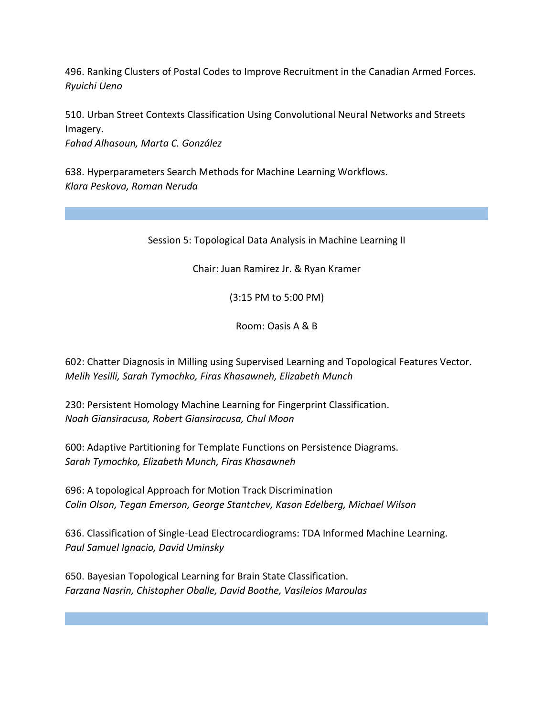496. Ranking Clusters of Postal Codes to Improve Recruitment in the Canadian Armed Forces. *Ryuichi Ueno*

510. Urban Street Contexts Classification Using Convolutional Neural Networks and Streets Imagery. *Fahad Alhasoun, Marta C. González*

638. Hyperparameters Search Methods for Machine Learning Workflows. *Klara Peskova, Roman Neruda*

Session 5: Topological Data Analysis in Machine Learning II

Chair: Juan Ramirez Jr. & Ryan Kramer

(3:15 PM to 5:00 PM)

Room: Oasis A & B

602: Chatter Diagnosis in Milling using Supervised Learning and Topological Features Vector. *Melih Yesilli, Sarah Tymochko, Firas Khasawneh, Elizabeth Munch*

230: Persistent Homology Machine Learning for Fingerprint Classification. *Noah Giansiracusa, Robert Giansiracusa, Chul Moon*

600: Adaptive Partitioning for Template Functions on Persistence Diagrams. *Sarah Tymochko, Elizabeth Munch, Firas Khasawneh*

696: A topological Approach for Motion Track Discrimination *Colin Olson, Tegan Emerson, George Stantchev, Kason Edelberg, Michael Wilson*

636. Classification of Single-Lead Electrocardiograms: TDA Informed Machine Learning. *Paul Samuel Ignacio, David Uminsky*

650. Bayesian Topological Learning for Brain State Classification. *Farzana Nasrin, Chistopher Oballe, David Boothe, Vasileios Maroulas*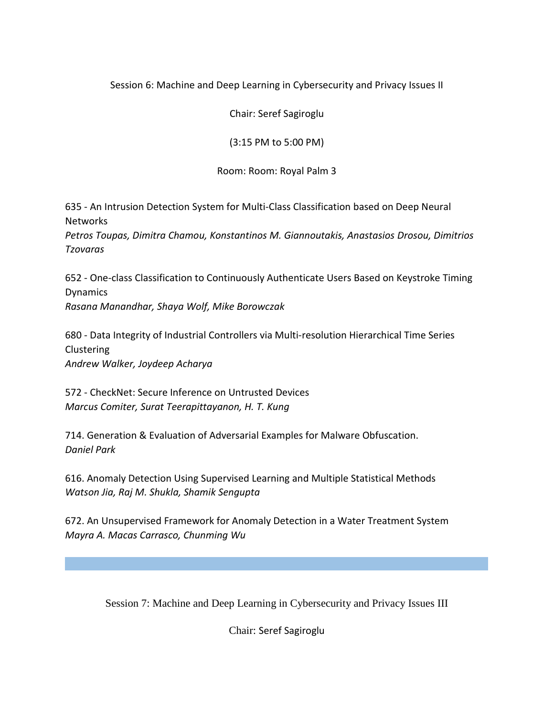## Session 6: Machine and Deep Learning in Cybersecurity and Privacy Issues II

Chair: Seref Sagiroglu

(3:15 PM to 5:00 PM)

Room: Room: Royal Palm 3

635 - An Intrusion Detection System for Multi-Class Classification based on Deep Neural **Networks** 

*Petros Toupas, Dimitra Chamou, Konstantinos M. Giannoutakis, Anastasios Drosou, Dimitrios Tzovaras*

652 - One-class Classification to Continuously Authenticate Users Based on Keystroke Timing Dynamics *Rasana Manandhar, Shaya Wolf, Mike Borowczak*

680 - Data Integrity of Industrial Controllers via Multi-resolution Hierarchical Time Series Clustering *Andrew Walker, Joydeep Acharya*

572 - CheckNet: Secure Inference on Untrusted Devices *Marcus Comiter, Surat Teerapittayanon, H. T. Kung*

714. Generation & Evaluation of Adversarial Examples for Malware Obfuscation. *Daniel Park*

616. Anomaly Detection Using Supervised Learning and Multiple Statistical Methods *Watson Jia, Raj M. Shukla, Shamik Sengupta*

672. An Unsupervised Framework for Anomaly Detection in a Water Treatment System *Mayra A. Macas Carrasco, Chunming Wu*

Session 7: Machine and Deep Learning in Cybersecurity and Privacy Issues III

Chair: Seref Sagiroglu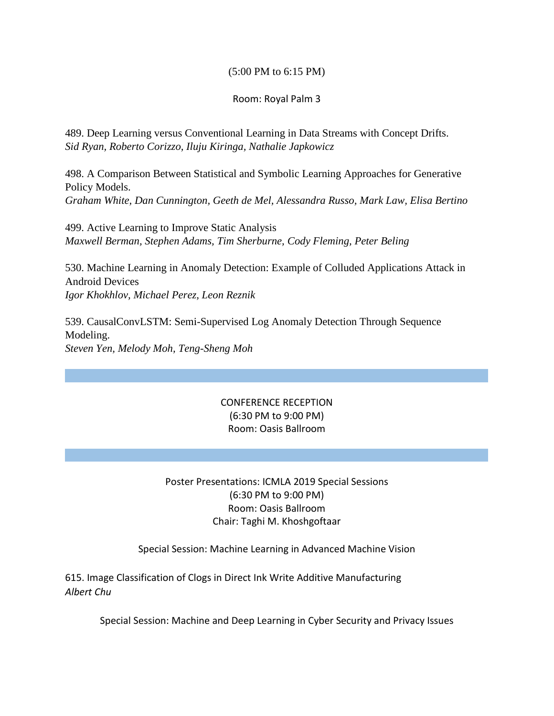### (5:00 PM to 6:15 PM)

### Room: Royal Palm 3

489. Deep Learning versus Conventional Learning in Data Streams with Concept Drifts. *Sid Ryan, Roberto Corizzo, Iluju Kiringa, Nathalie Japkowicz*

498. A Comparison Between Statistical and Symbolic Learning Approaches for Generative Policy Models. *Graham White, Dan Cunnington, Geeth de Mel, Alessandra Russo, Mark Law, Elisa Bertino*

499. Active Learning to Improve Static Analysis *Maxwell Berman, Stephen Adams, Tim Sherburne, Cody Fleming, Peter Beling*

530. Machine Learning in Anomaly Detection: Example of Colluded Applications Attack in Android Devices *Igor Khokhlov, Michael Perez, Leon Reznik*

539. CausalConvLSTM: Semi-Supervised Log Anomaly Detection Through Sequence Modeling. *Steven Yen, Melody Moh, Teng-Sheng Moh*

### CONFERENCE RECEPTION (6:30 PM to 9:00 PM) Room: Oasis Ballroom

## Poster Presentations: ICMLA 2019 Special Sessions (6:30 PM to 9:00 PM) Room: Oasis Ballroom Chair: Taghi M. Khoshgoftaar

Special Session: Machine Learning in Advanced Machine Vision

615. Image Classification of Clogs in Direct Ink Write Additive Manufacturing *Albert Chu*

Special Session: Machine and Deep Learning in Cyber Security and Privacy Issues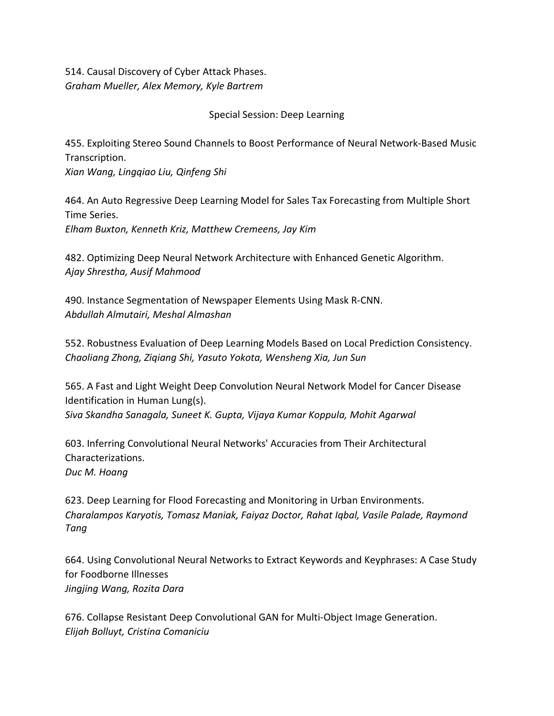514. Causal Discovery of Cyber Attack Phases. *Graham Mueller, Alex Memory, Kyle Bartrem*

Special Session: Deep Learning

455. Exploiting Stereo Sound Channels to Boost Performance of Neural Network-Based Music Transcription.

*Xian Wang, Lingqiao Liu, Qinfeng Shi*

464. An Auto Regressive Deep Learning Model for Sales Tax Forecasting from Multiple Short Time Series.

*Elham Buxton, Kenneth Kriz, Matthew Cremeens, Jay Kim*

482. Optimizing Deep Neural Network Architecture with Enhanced Genetic Algorithm. *Ajay Shrestha, Ausif Mahmood*

490. Instance Segmentation of Newspaper Elements Using Mask R-CNN. *Abdullah Almutairi, Meshal Almashan*

552. Robustness Evaluation of Deep Learning Models Based on Local Prediction Consistency. *Chaoliang Zhong, Ziqiang Shi, Yasuto Yokota, Wensheng Xia, Jun Sun*

565. A Fast and Light Weight Deep Convolution Neural Network Model for Cancer Disease Identification in Human Lung(s). *Siva Skandha Sanagala, Suneet K. Gupta, Vijaya Kumar Koppula, Mohit Agarwal*

603. Inferring Convolutional Neural Networks' Accuracies from Their Architectural Characterizations. *Duc M. Hoang*

623. Deep Learning for Flood Forecasting and Monitoring in Urban Environments. *Charalampos Karyotis, Tomasz Maniak, Faiyaz Doctor, Rahat Iqbal, Vasile Palade, Raymond Tang*

664. Using Convolutional Neural Networks to Extract Keywords and Keyphrases: A Case Study for Foodborne Illnesses *Jingjing Wang, Rozita Dara*

676. Collapse Resistant Deep Convolutional GAN for Multi-Object Image Generation. *Elijah Bolluyt, Cristina Comaniciu*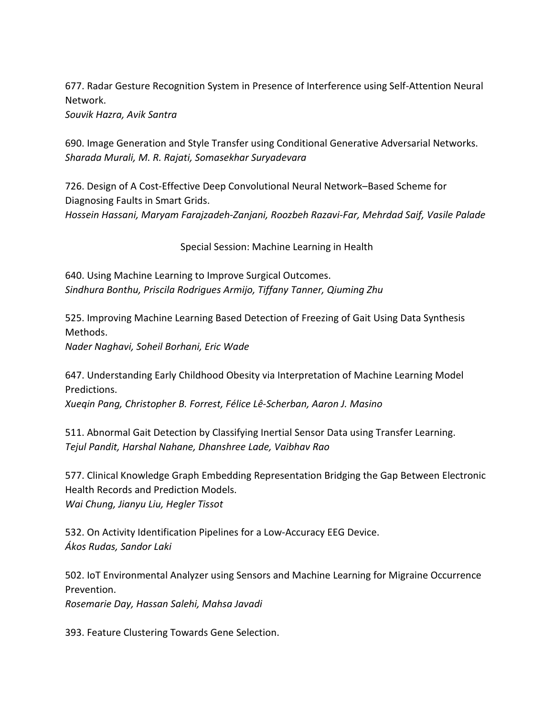677. Radar Gesture Recognition System in Presence of Interference using Self-Attention Neural Network.

*Souvik Hazra, Avik Santra*

690. Image Generation and Style Transfer using Conditional Generative Adversarial Networks. *Sharada Murali, M. R. Rajati, Somasekhar Suryadevara*

726. Design of A Cost-Effective Deep Convolutional Neural Network–Based Scheme for Diagnosing Faults in Smart Grids.

*Hossein Hassani, Maryam Farajzadeh-Zanjani, Roozbeh Razavi-Far, Mehrdad Saif, Vasile Palade*

Special Session: Machine Learning in Health

640. Using Machine Learning to Improve Surgical Outcomes. *Sindhura Bonthu, Priscila Rodrigues Armijo, Tiffany Tanner, Qiuming Zhu*

525. Improving Machine Learning Based Detection of Freezing of Gait Using Data Synthesis Methods.

*Nader Naghavi, Soheil Borhani, Eric Wade*

647. Understanding Early Childhood Obesity via Interpretation of Machine Learning Model Predictions.

*Xueqin Pang, Christopher B. Forrest, Félice Lê-Scherban, Aaron J. Masino*

511. Abnormal Gait Detection by Classifying Inertial Sensor Data using Transfer Learning. *Tejul Pandit, Harshal Nahane, Dhanshree Lade, Vaibhav Rao*

577. Clinical Knowledge Graph Embedding Representation Bridging the Gap Between Electronic Health Records and Prediction Models. *Wai Chung, Jianyu Liu, Hegler Tissot*

532. On Activity Identification Pipelines for a Low-Accuracy EEG Device. *Ákos Rudas, Sandor Laki*

502. IoT Environmental Analyzer using Sensors and Machine Learning for Migraine Occurrence Prevention.

*Rosemarie Day, Hassan Salehi, Mahsa Javadi*

393. Feature Clustering Towards Gene Selection.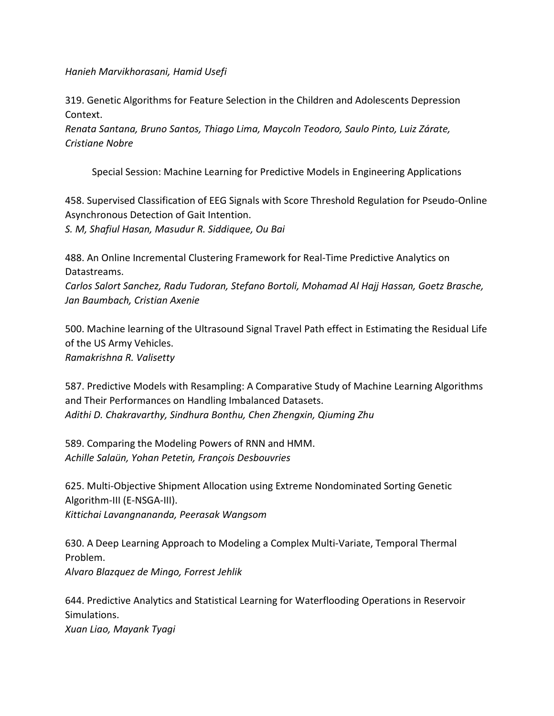*Hanieh Marvikhorasani, Hamid Usefi*

319. Genetic Algorithms for Feature Selection in the Children and Adolescents Depression Context.

*Renata Santana, Bruno Santos, Thiago Lima, Maycoln Teodoro, Saulo Pinto, Luiz Zárate, Cristiane Nobre*

Special Session: Machine Learning for Predictive Models in Engineering Applications

458. Supervised Classification of EEG Signals with Score Threshold Regulation for Pseudo-Online Asynchronous Detection of Gait Intention. *S. M, Shafiul Hasan, Masudur R. Siddiquee, Ou Bai*

488. An Online Incremental Clustering Framework for Real-Time Predictive Analytics on Datastreams.

*Carlos Salort Sanchez, Radu Tudoran, Stefano Bortoli, Mohamad Al Hajj Hassan, Goetz Brasche, Jan Baumbach, Cristian Axenie*

500. Machine learning of the Ultrasound Signal Travel Path effect in Estimating the Residual Life of the US Army Vehicles. *Ramakrishna R. Valisetty*

587. Predictive Models with Resampling: A Comparative Study of Machine Learning Algorithms and Their Performances on Handling Imbalanced Datasets. *Adithi D. Chakravarthy, Sindhura Bonthu, Chen Zhengxin, Qiuming Zhu*

589. Comparing the Modeling Powers of RNN and HMM. *Achille Salaün, Yohan Petetin, François Desbouvries*

625. Multi-Objective Shipment Allocation using Extreme Nondominated Sorting Genetic Algorithm-III (E-NSGA-III). *Kittichai Lavangnananda, Peerasak Wangsom*

630. A Deep Learning Approach to Modeling a Complex Multi-Variate, Temporal Thermal Problem. *Alvaro Blazquez de Mingo, Forrest Jehlik*

644. Predictive Analytics and Statistical Learning for Waterflooding Operations in Reservoir Simulations.

*Xuan Liao, Mayank Tyagi*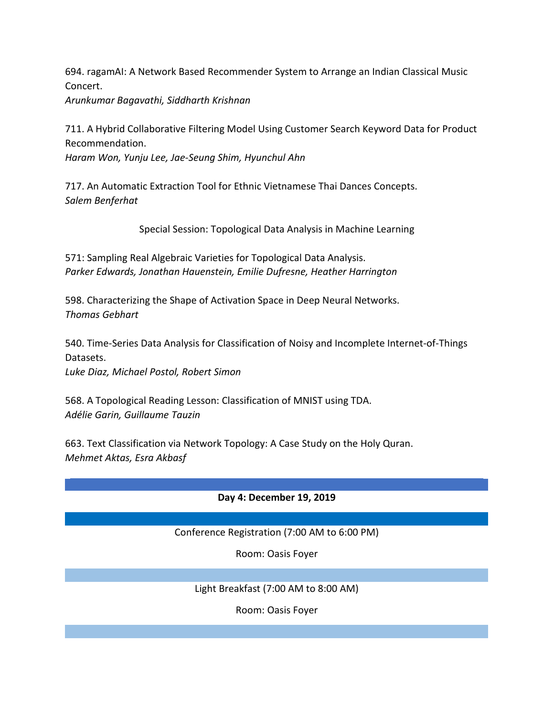694. ragamAI: A Network Based Recommender System to Arrange an Indian Classical Music Concert. *Arunkumar Bagavathi, Siddharth Krishnan*

711. A Hybrid Collaborative Filtering Model Using Customer Search Keyword Data for Product Recommendation.

*Haram Won, Yunju Lee, Jae-Seung Shim, Hyunchul Ahn*

717. An Automatic Extraction Tool for Ethnic Vietnamese Thai Dances Concepts. *Salem Benferhat*

Special Session: Topological Data Analysis in Machine Learning

571: Sampling Real Algebraic Varieties for Topological Data Analysis. *Parker Edwards, Jonathan Hauenstein, Emilie Dufresne, Heather Harrington*

598. Characterizing the Shape of Activation Space in Deep Neural Networks. *Thomas Gebhart*

540. Time-Series Data Analysis for Classification of Noisy and Incomplete Internet-of-Things Datasets.

*Luke Diaz, Michael Postol, Robert Simon*

568. A Topological Reading Lesson: Classification of MNIST using TDA. *Adélie Garin, Guillaume Tauzin*

663. Text Classification via Network Topology: A Case Study on the Holy Quran. *Mehmet Aktas, Esra Akbasf*

# **Day 4: December 19, 2019**

### Conference Registration (7:00 AM to 6:00 PM)

Room: Oasis Foyer

Light Breakfast (7:00 AM to 8:00 AM)

Room: Oasis Foyer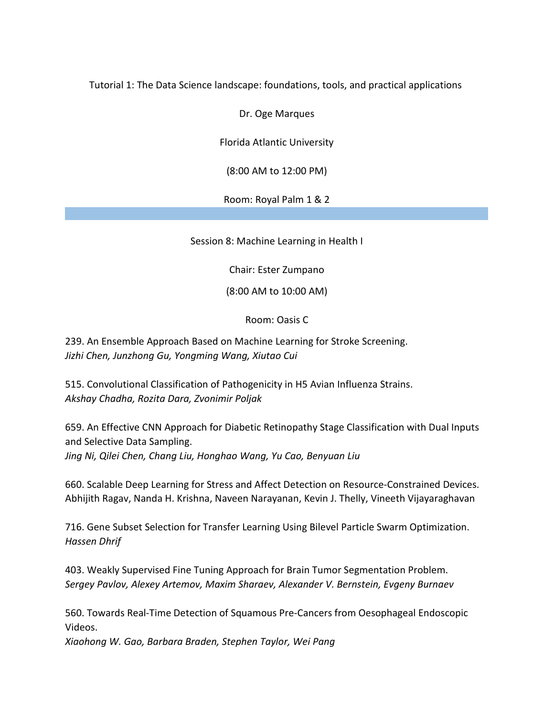Tutorial 1: The Data Science landscape: foundations, tools, and practical applications

Dr. Oge Marques

Florida Atlantic University

(8:00 AM to 12:00 PM)

Room: Royal Palm 1 & 2

Session 8: Machine Learning in Health I

Chair: Ester Zumpano

(8:00 AM to 10:00 AM)

Room: Oasis C

239. An Ensemble Approach Based on Machine Learning for Stroke Screening. *Jizhi Chen, Junzhong Gu, Yongming Wang, Xiutao Cui*

515. Convolutional Classification of Pathogenicity in H5 Avian Influenza Strains. *Akshay Chadha, Rozita Dara, Zvonimir Poljak*

659. An Effective CNN Approach for Diabetic Retinopathy Stage Classification with Dual Inputs and Selective Data Sampling. *Jing Ni, Qilei Chen, Chang Liu, Honghao Wang, Yu Cao, Benyuan Liu*

660. Scalable Deep Learning for Stress and Affect Detection on Resource-Constrained Devices. Abhijith Ragav, Nanda H. Krishna, Naveen Narayanan, Kevin J. Thelly, Vineeth Vijayaraghavan

716. Gene Subset Selection for Transfer Learning Using Bilevel Particle Swarm Optimization. *Hassen Dhrif*

403. Weakly Supervised Fine Tuning Approach for Brain Tumor Segmentation Problem. *Sergey Pavlov, Alexey Artemov, Maxim Sharaev, Alexander V. Bernstein, Evgeny Burnaev*

560. Towards Real-Time Detection of Squamous Pre-Cancers from Oesophageal Endoscopic Videos.

*Xiaohong W. Gao, Barbara Braden, Stephen Taylor, Wei Pang*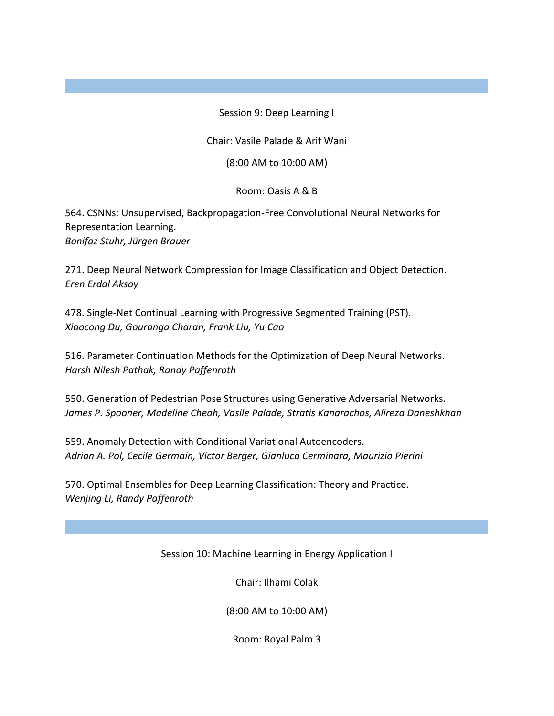Session 9: Deep Learning I

Chair: Vasile Palade & Arif Wani

(8:00 AM to 10:00 AM)

Room: Oasis A & B

564. CSNNs: Unsupervised, Backpropagation-Free Convolutional Neural Networks for Representation Learning. *Bonifaz Stuhr, Jürgen Brauer*

271. Deep Neural Network Compression for Image Classification and Object Detection. *Eren Erdal Aksoy*

478. Single-Net Continual Learning with Progressive Segmented Training (PST). *Xiaocong Du, Gouranga Charan, Frank Liu, Yu Cao*

516. Parameter Continuation Methods for the Optimization of Deep Neural Networks. *Harsh Nilesh Pathak, Randy Paffenroth*

550. Generation of Pedestrian Pose Structures using Generative Adversarial Networks. *James P. Spooner, Madeline Cheah, Vasile Palade, Stratis Kanarachos, Alireza Daneshkhah*

559. Anomaly Detection with Conditional Variational Autoencoders. *Adrian A. Pol, Cecile Germain, Victor Berger, Gianluca Cerminara, Maurizio Pierini*

570. Optimal Ensembles for Deep Learning Classification: Theory and Practice. *Wenjing Li, Randy Paffenroth*

Session 10: Machine Learning in Energy Application I

Chair: Ilhami Colak

(8:00 AM to 10:00 AM)

Room: Royal Palm 3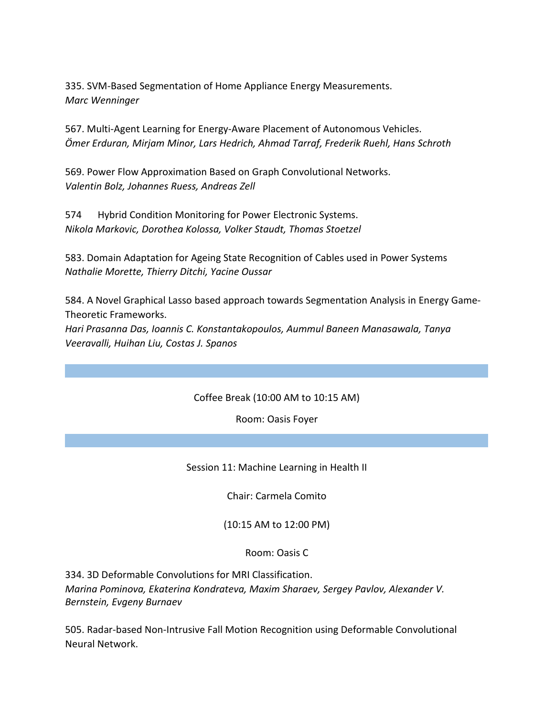335. SVM-Based Segmentation of Home Appliance Energy Measurements. *Marc Wenninger*

567. Multi-Agent Learning for Energy-Aware Placement of Autonomous Vehicles. *Ömer Erduran, Mirjam Minor, Lars Hedrich, Ahmad Tarraf, Frederik Ruehl, Hans Schroth*

569. Power Flow Approximation Based on Graph Convolutional Networks. *Valentin Bolz, Johannes Ruess, Andreas Zell*

574 Hybrid Condition Monitoring for Power Electronic Systems. *Nikola Markovic, Dorothea Kolossa, Volker Staudt, Thomas Stoetzel*

583. Domain Adaptation for Ageing State Recognition of Cables used in Power Systems *Nathalie Morette, Thierry Ditchi, Yacine Oussar*

584. A Novel Graphical Lasso based approach towards Segmentation Analysis in Energy Game-Theoretic Frameworks.

*Hari Prasanna Das, Ioannis C. Konstantakopoulos, Aummul Baneen Manasawala, Tanya Veeravalli, Huihan Liu, Costas J. Spanos*

### Coffee Break (10:00 AM to 10:15 AM)

Room: Oasis Foyer

Session 11: Machine Learning in Health II

Chair: Carmela Comito

(10:15 AM to 12:00 PM)

Room: Oasis C

334. 3D Deformable Convolutions for MRI Classification. *Marina Pominova, Ekaterina Kondrateva, Maxim Sharaev, Sergey Pavlov, Alexander V. Bernstein, Evgeny Burnaev*

505. Radar-based Non-Intrusive Fall Motion Recognition using Deformable Convolutional Neural Network.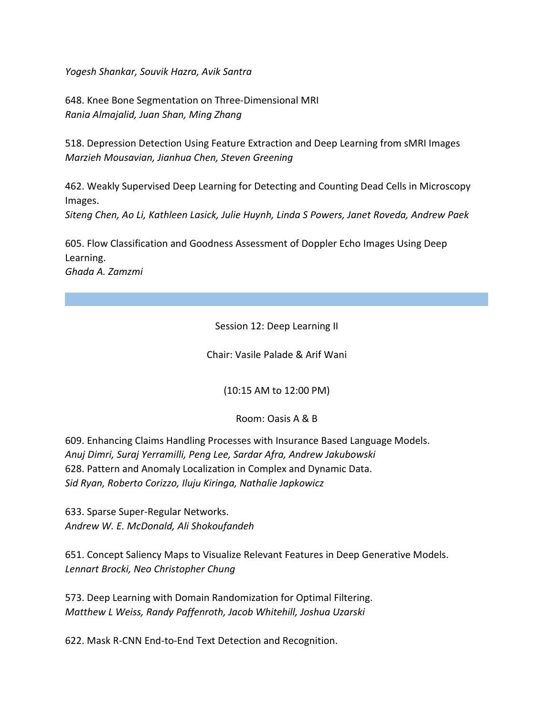*Yogesh Shankar, Souvik Hazra, Avik Santra*

648. Knee Bone Segmentation on Three-Dimensional MRI *Rania Almajalid, Juan Shan, Ming Zhang*

518. Depression Detection Using Feature Extraction and Deep Learning from sMRI Images *Marzieh Mousavian, Jianhua Chen, Steven Greening*

462. Weakly Supervised Deep Learning for Detecting and Counting Dead Cells in Microscopy Images.

*Siteng Chen, Ao Li, Kathleen Lasick, Julie Huynh, Linda S Powers, Janet Roveda, Andrew Paek*

605. Flow Classification and Goodness Assessment of Doppler Echo Images Using Deep Learning.

*Ghada A. Zamzmi*

Session 12: Deep Learning II

Chair: Vasile Palade & Arif Wani

(10:15 AM to 12:00 PM)

Room: Oasis A & B

609. Enhancing Claims Handling Processes with Insurance Based Language Models. *Anuj Dimri, Suraj Yerramilli, Peng Lee, Sardar Afra, Andrew Jakubowski* 628. Pattern and Anomaly Localization in Complex and Dynamic Data. *Sid Ryan, Roberto Corizzo, Iluju Kiringa, Nathalie Japkowicz*

633. Sparse Super-Regular Networks. *Andrew W. E. McDonald, Ali Shokoufandeh*

651. Concept Saliency Maps to Visualize Relevant Features in Deep Generative Models. *Lennart Brocki, Neo Christopher Chung*

573. Deep Learning with Domain Randomization for Optimal Filtering. *Matthew L Weiss, Randy Paffenroth, Jacob Whitehill, Joshua Uzarski*

622. Mask R-CNN End-to-End Text Detection and Recognition.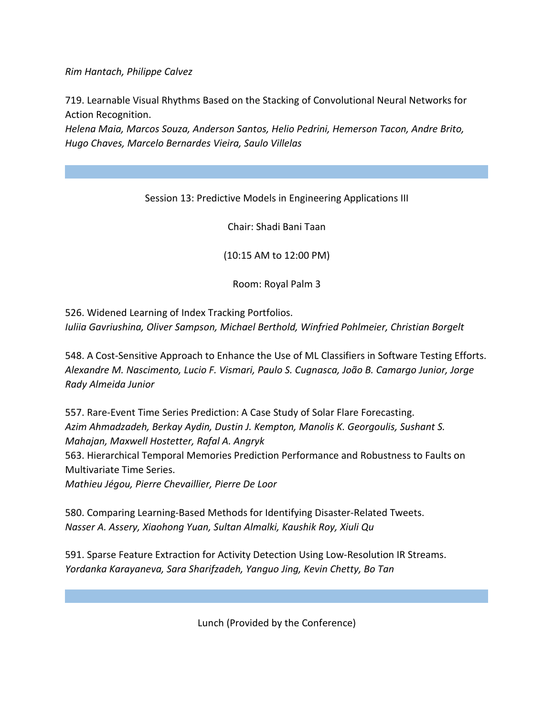*Rim Hantach, Philippe Calvez*

719. Learnable Visual Rhythms Based on the Stacking of Convolutional Neural Networks for Action Recognition.

*Helena Maia, Marcos Souza, Anderson Santos, Helio Pedrini, Hemerson Tacon, Andre Brito, Hugo Chaves, Marcelo Bernardes Vieira, Saulo Villelas*

## Session 13: Predictive Models in Engineering Applications III

Chair: Shadi Bani Taan

(10:15 AM to 12:00 PM)

Room: Royal Palm 3

526. Widened Learning of Index Tracking Portfolios. *Iuliia Gavriushina, Oliver Sampson, Michael Berthold, Winfried Pohlmeier, Christian Borgelt*

548. A Cost-Sensitive Approach to Enhance the Use of ML Classifiers in Software Testing Efforts. *Alexandre M. Nascimento, Lucio F. Vismari, Paulo S. Cugnasca, João B. Camargo Junior, Jorge Rady Almeida Junior*

557. Rare-Event Time Series Prediction: A Case Study of Solar Flare Forecasting. *Azim Ahmadzadeh, Berkay Aydin, Dustin J. Kempton, Manolis K. Georgoulis, Sushant S. Mahajan, Maxwell Hostetter, Rafal A. Angryk* 563. Hierarchical Temporal Memories Prediction Performance and Robustness to Faults on Multivariate Time Series. *Mathieu Jégou, Pierre Chevaillier, Pierre De Loor*

580. Comparing Learning-Based Methods for Identifying Disaster-Related Tweets. *Nasser A. Assery, Xiaohong Yuan, Sultan Almalki, Kaushik Roy, Xiuli Qu*

591. Sparse Feature Extraction for Activity Detection Using Low-Resolution IR Streams. *Yordanka Karayaneva, Sara Sharifzadeh, Yanguo Jing, Kevin Chetty, Bo Tan*

Lunch (Provided by the Conference)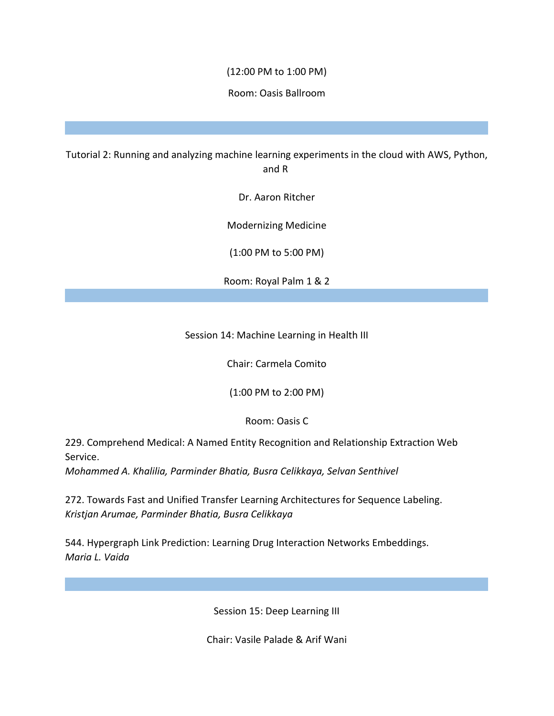### (12:00 PM to 1:00 PM)

### Room: Oasis Ballroom

Tutorial 2: Running and analyzing machine learning experiments in the cloud with AWS, Python, and R

Dr. Aaron Ritcher

Modernizing Medicine

(1:00 PM to 5:00 PM)

Room: Royal Palm 1 & 2

Session 14: Machine Learning in Health III

Chair: Carmela Comito

(1:00 PM to 2:00 PM)

Room: Oasis C

229. Comprehend Medical: A Named Entity Recognition and Relationship Extraction Web Service.

*Mohammed A. Khalilia, Parminder Bhatia, Busra Celikkaya, Selvan Senthivel*

272. Towards Fast and Unified Transfer Learning Architectures for Sequence Labeling. *Kristjan Arumae, Parminder Bhatia, Busra Celikkaya*

544. Hypergraph Link Prediction: Learning Drug Interaction Networks Embeddings. *Maria L. Vaida*

Session 15: Deep Learning III

Chair: Vasile Palade & Arif Wani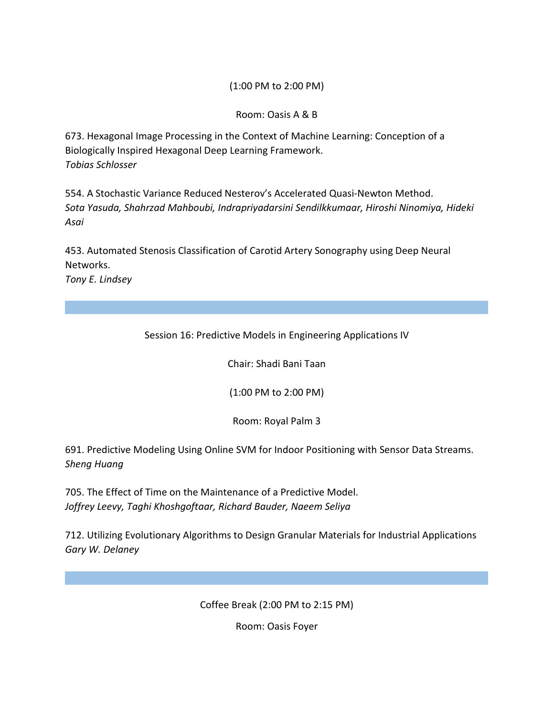### (1:00 PM to 2:00 PM)

Room: Oasis A & B

673. Hexagonal Image Processing in the Context of Machine Learning: Conception of a Biologically Inspired Hexagonal Deep Learning Framework. *Tobias Schlosser*

554. A Stochastic Variance Reduced Nesterov's Accelerated Quasi-Newton Method. *Sota Yasuda, Shahrzad Mahboubi, Indrapriyadarsini Sendilkkumaar, Hiroshi Ninomiya, Hideki Asai*

453. Automated Stenosis Classification of Carotid Artery Sonography using Deep Neural Networks. *Tony E. Lindsey*

Session 16: Predictive Models in Engineering Applications IV

Chair: Shadi Bani Taan

(1:00 PM to 2:00 PM)

Room: Royal Palm 3

691. Predictive Modeling Using Online SVM for Indoor Positioning with Sensor Data Streams. *Sheng Huang*

705. The Effect of Time on the Maintenance of a Predictive Model. *Joffrey Leevy, Taghi Khoshgoftaar, Richard Bauder, Naeem Seliya*

712. Utilizing Evolutionary Algorithms to Design Granular Materials for Industrial Applications *Gary W. Delaney*

Coffee Break (2:00 PM to 2:15 PM)

Room: Oasis Foyer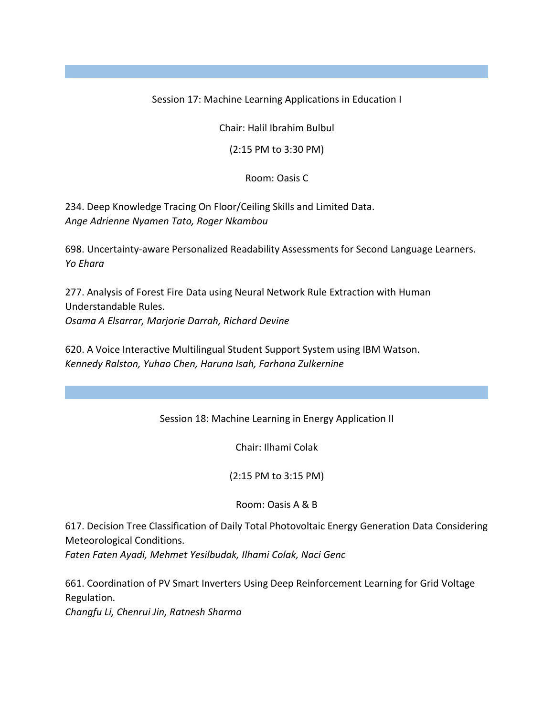Session 17: Machine Learning Applications in Education I

Chair: Halil Ibrahim Bulbul

(2:15 PM to 3:30 PM)

Room: Oasis C

234. Deep Knowledge Tracing On Floor/Ceiling Skills and Limited Data. *Ange Adrienne Nyamen Tato, Roger Nkambou*

698. Uncertainty-aware Personalized Readability Assessments for Second Language Learners. *Yo Ehara*

277. Analysis of Forest Fire Data using Neural Network Rule Extraction with Human Understandable Rules. *Osama A Elsarrar, Marjorie Darrah, Richard Devine*

620. A Voice Interactive Multilingual Student Support System using IBM Watson. *Kennedy Ralston, Yuhao Chen, Haruna Isah, Farhana Zulkernine*

Session 18: Machine Learning in Energy Application II

Chair: Ilhami Colak

(2:15 PM to 3:15 PM)

Room: Oasis A & B

617. Decision Tree Classification of Daily Total Photovoltaic Energy Generation Data Considering Meteorological Conditions.

*Faten Faten Ayadi, Mehmet Yesilbudak, Ilhami Colak, Naci Genc*

661. Coordination of PV Smart Inverters Using Deep Reinforcement Learning for Grid Voltage Regulation.

*Changfu Li, Chenrui Jin, Ratnesh Sharma*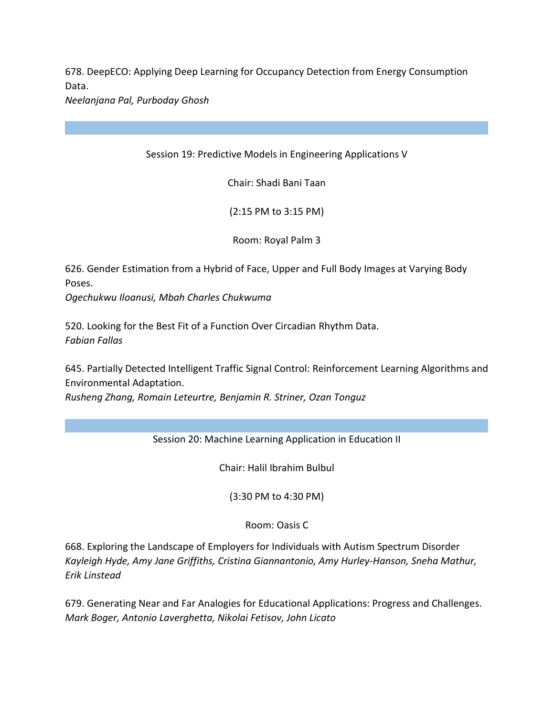678. DeepECO: Applying Deep Learning for Occupancy Detection from Energy Consumption Data.

*Neelanjana Pal, Purboday Ghosh*

Session 19: Predictive Models in Engineering Applications V

Chair: Shadi Bani Taan

(2:15 PM to 3:15 PM)

Room: Royal Palm 3

626. Gender Estimation from a Hybrid of Face, Upper and Full Body Images at Varying Body Poses.

*Ogechukwu Iloanusi, Mbah Charles Chukwuma*

520. Looking for the Best Fit of a Function Over Circadian Rhythm Data. *Fabian Fallas*

645. Partially Detected Intelligent Traffic Signal Control: Reinforcement Learning Algorithms and Environmental Adaptation.

*Rusheng Zhang, Romain Leteurtre, Benjamin R. Striner, Ozan Tonguz*

# Session 20: Machine Learning Application in Education II

Chair: Halil Ibrahim Bulbul

(3:30 PM to 4:30 PM)

Room: Oasis C

668. Exploring the Landscape of Employers for Individuals with Autism Spectrum Disorder *Kayleigh Hyde, Amy Jane Griffiths, Cristina Giannantonio, Amy Hurley-Hanson, Sneha Mathur, Erik Linstead*

679. Generating Near and Far Analogies for Educational Applications: Progress and Challenges. *Mark Boger, Antonio Laverghetta, Nikolai Fetisov, John Licato*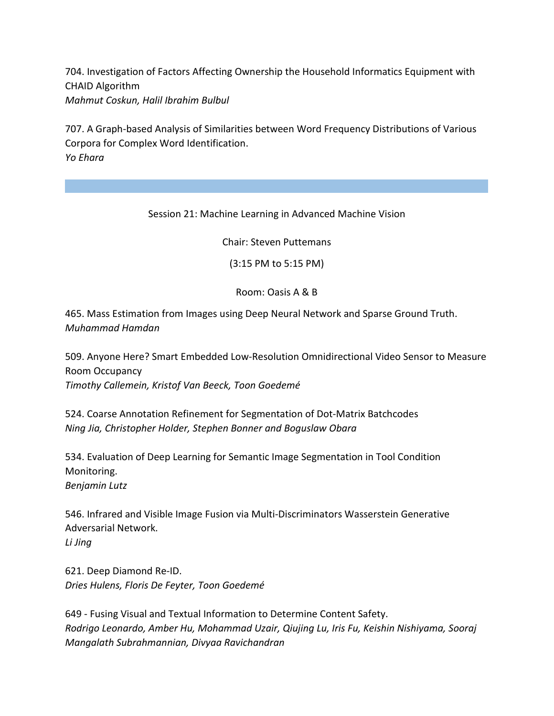704. Investigation of Factors Affecting Ownership the Household Informatics Equipment with CHAID Algorithm *Mahmut Coskun, Halil Ibrahim Bulbul*

707. A Graph-based Analysis of Similarities between Word Frequency Distributions of Various Corpora for Complex Word Identification. *Yo Ehara*

Session 21: Machine Learning in Advanced Machine Vision

Chair: Steven Puttemans

(3:15 PM to 5:15 PM)

Room: Oasis A & B

465. Mass Estimation from Images using Deep Neural Network and Sparse Ground Truth. *Muhammad Hamdan*

509. Anyone Here? Smart Embedded Low-Resolution Omnidirectional Video Sensor to Measure Room Occupancy *Timothy Callemein, Kristof Van Beeck, Toon Goedemé*

524. Coarse Annotation Refinement for Segmentation of Dot-Matrix Batchcodes *Ning Jia, Christopher Holder, Stephen Bonner and Boguslaw Obara*

534. Evaluation of Deep Learning for Semantic Image Segmentation in Tool Condition Monitoring. *Benjamin Lutz*

546. Infrared and Visible Image Fusion via Multi-Discriminators Wasserstein Generative Adversarial Network. *Li Jing*

621. Deep Diamond Re-ID. *Dries Hulens, Floris De Feyter, Toon Goedemé*

649 - Fusing Visual and Textual Information to Determine Content Safety. *Rodrigo Leonardo, Amber Hu, Mohammad Uzair, Qiujing Lu, Iris Fu, Keishin Nishiyama, Sooraj Mangalath Subrahmannian, Divyaa Ravichandran*